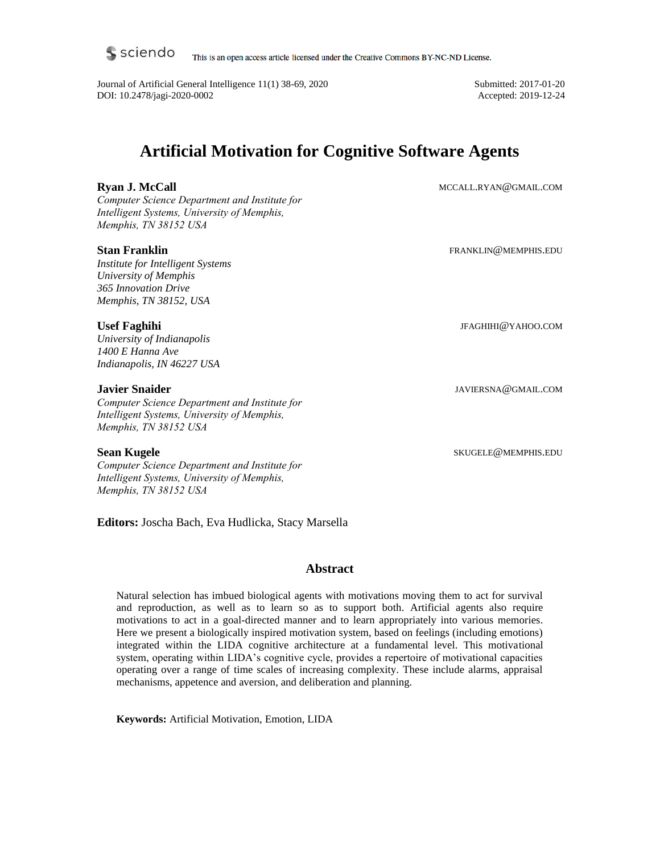This is an open access article licensed under the Creative Commons BY-NC-ND License.

Journal of Artificial General Intelligence 11(1) 38-69, 2020 DOI: 10.2478/jagi-2020-0002

Submitted: 2017-01-20 Accepted: 2019-12-24

# **Artificial Motivation for Cognitive Software Agents**

# **Ryan J. McCall**

*Computer Science Department and Institute for Intelligent Systems, University of Memphis, Memphis, TN 38152 USA*

## **Stan Franklin**

*Institute for Intelligent Systems University of Memphis 365 Innovation Drive Memphis, TN 38152, USA*

## **Usef Faghihi**

*University of Indianapolis 1400 E Hanna Ave Indianapolis, IN 46227 USA*

## **Javier Snaider**

*Computer Science Department and Institute for Intelligent Systems, University of Memphis, Memphis, TN 38152 USA*

#### **Sean Kugele**

*Computer Science Department and Institute for Intelligent Systems, University of Memphis, Memphis, TN 38152 USA*

**Editors:** Joscha Bach, Eva Hudlicka, Stacy Marsella

## **Abstract**

Natural selection has imbued biological agents with motivations moving them to act for survival and reproduction, as well as to learn so as to support both. Artificial agents also require motivations to act in a goal-directed manner and to learn appropriately into various memories. Here we present a biologically inspired motivation system, based on feelings (including emotions) integrated within the LIDA cognitive architecture at a fundamental level. This motivational system, operating within LIDA's cognitive cycle, provides a repertoire of motivational capacities operating over a range of time scales of increasing complexity. These include alarms, appraisal mechanisms, appetence and aversion, and deliberation and planning.

**Keywords:** Artificial Motivation, Emotion, LIDA

MCCALL.RYAN@GMAIL.COM

FRANKLIN@MEMPHIS.EDU

JFAGHIHI@YAHOO.COM

JAVIERSNA@GMAIL.COM

SKUGELE@MEMPHIS.EDU

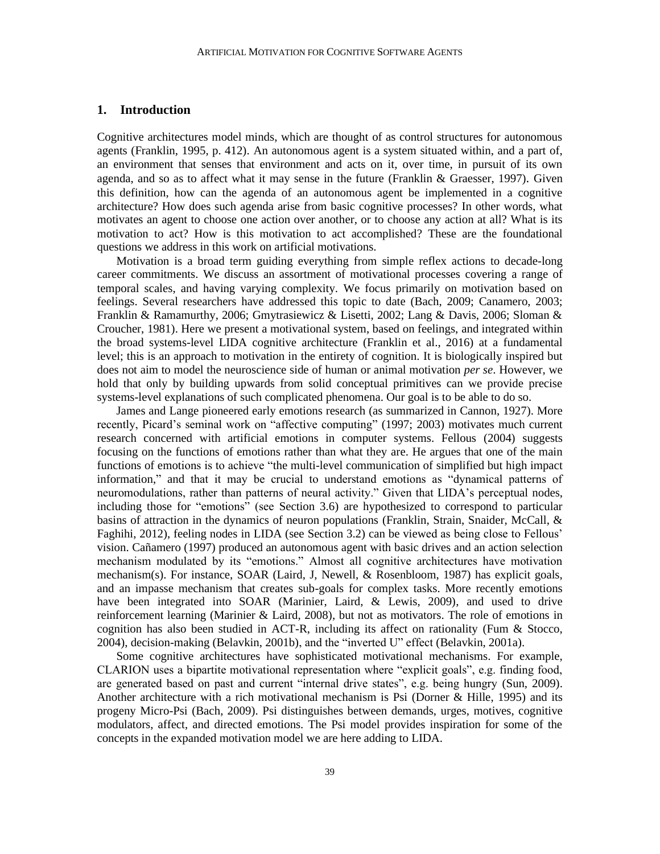#### **1. Introduction**

Cognitive architectures model minds, which are thought of as control structures for autonomous agents (Franklin, 1995, p. 412). An autonomous agent is a system situated within, and a part of, an environment that senses that environment and acts on it, over time, in pursuit of its own agenda, and so as to affect what it may sense in the future (Franklin & Graesser, 1997). Given this definition, how can the agenda of an autonomous agent be implemented in a cognitive architecture? How does such agenda arise from basic cognitive processes? In other words, what motivates an agent to choose one action over another, or to choose any action at all? What is its motivation to act? How is this motivation to act accomplished? These are the foundational questions we address in this work on artificial motivations.

Motivation is a broad term guiding everything from simple reflex actions to decade-long career commitments. We discuss an assortment of motivational processes covering a range of temporal scales, and having varying complexity. We focus primarily on motivation based on feelings. Several researchers have addressed this topic to date (Bach, 2009; Canamero, 2003; Franklin & Ramamurthy, 2006; Gmytrasiewicz & Lisetti, 2002; Lang & Davis, 2006; Sloman & Croucher, 1981). Here we present a motivational system, based on feelings, and integrated within the broad systems-level LIDA cognitive architecture (Franklin et al., 2016) at a fundamental level; this is an approach to motivation in the entirety of cognition. It is biologically inspired but does not aim to model the neuroscience side of human or animal motivation *per se*. However, we hold that only by building upwards from solid conceptual primitives can we provide precise systems-level explanations of such complicated phenomena. Our goal is to be able to do so.

James and Lange pioneered early emotions research (as summarized in Cannon, 1927). More recently, Picard's seminal work on "affective computing" (1997; 2003) motivates much current research concerned with artificial emotions in computer systems. Fellous (2004) suggests focusing on the functions of emotions rather than what they are. He argues that one of the main functions of emotions is to achieve "the multi-level communication of simplified but high impact information," and that it may be crucial to understand emotions as "dynamical patterns of neuromodulations, rather than patterns of neural activity." Given that LIDA's perceptual nodes, including those for "emotions" (see Section 3.6) are hypothesized to correspond to particular basins of attraction in the dynamics of neuron populations (Franklin, Strain, Snaider, McCall, & Faghihi, 2012), feeling nodes in LIDA (see Section 3.2) can be viewed as being close to Fellous' vision. Cañamero (1997) produced an autonomous agent with basic drives and an action selection mechanism modulated by its "emotions." Almost all cognitive architectures have motivation mechanism(s). For instance, SOAR (Laird, J, Newell, & Rosenbloom, 1987) has explicit goals, and an impasse mechanism that creates sub-goals for complex tasks. More recently emotions have been integrated into SOAR (Marinier, Laird, & Lewis, 2009), and used to drive reinforcement learning (Marinier & Laird, 2008), but not as motivators. The role of emotions in cognition has also been studied in ACT-R, including its affect on rationality (Fum & Stocco, 2004), decision-making (Belavkin, 2001b), and the "inverted U" effect (Belavkin, 2001a).

Some cognitive architectures have sophisticated motivational mechanisms. For example, CLARION uses a bipartite motivational representation where "explicit goals", e.g. finding food, are generated based on past and current "internal drive states", e.g. being hungry (Sun, 2009). Another architecture with a rich motivational mechanism is Psi (Dorner & Hille, 1995) and its progeny Micro-Psi (Bach, 2009). Psi distinguishes between demands, urges, motives, cognitive modulators, affect, and directed emotions. The Psi model provides inspiration for some of the concepts in the expanded motivation model we are here adding to LIDA.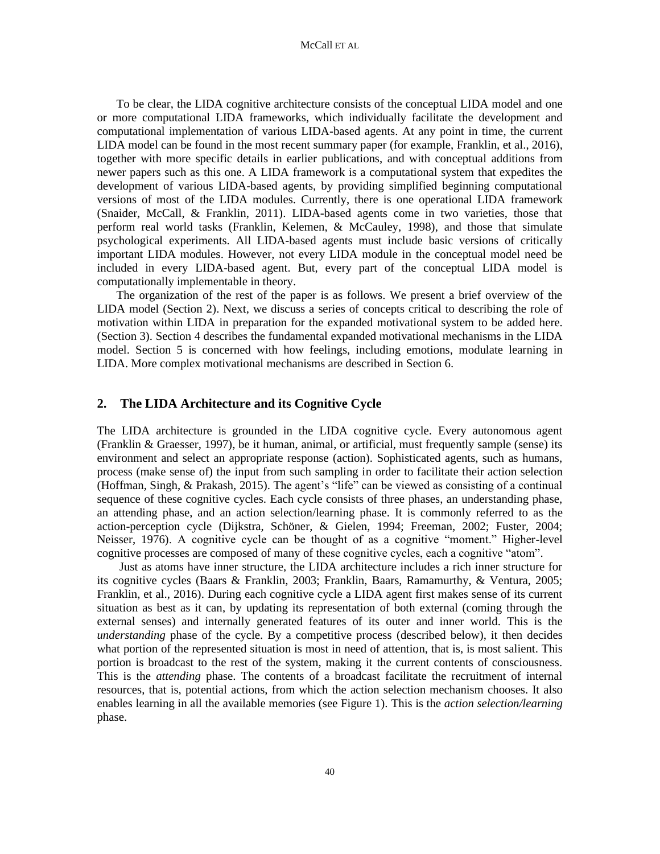To be clear, the LIDA cognitive architecture consists of the conceptual LIDA model and one or more computational LIDA frameworks, which individually facilitate the development and computational implementation of various LIDA-based agents. At any point in time, the current LIDA model can be found in the most recent summary paper (for example, Franklin, et al., 2016), together with more specific details in earlier publications, and with conceptual additions from newer papers such as this one. A LIDA framework is a computational system that expedites the development of various LIDA-based agents, by providing simplified beginning computational versions of most of the LIDA modules. Currently, there is one operational LIDA framework (Snaider, McCall, & Franklin, 2011). LIDA-based agents come in two varieties, those that perform real world tasks (Franklin, Kelemen, & McCauley, 1998), and those that simulate psychological experiments. All LIDA-based agents must include basic versions of critically important LIDA modules. However, not every LIDA module in the conceptual model need be included in every LIDA-based agent. But, every part of the conceptual LIDA model is computationally implementable in theory.

The organization of the rest of the paper is as follows. We present a brief overview of the LIDA model (Section 2). Next, we discuss a series of concepts critical to describing the role of motivation within LIDA in preparation for the expanded motivational system to be added here. (Section 3). Section 4 describes the fundamental expanded motivational mechanisms in the LIDA model. Section 5 is concerned with how feelings, including emotions, modulate learning in LIDA. More complex motivational mechanisms are described in Section 6.

# **2. The LIDA Architecture and its Cognitive Cycle**

The LIDA architecture is grounded in the LIDA cognitive cycle. Every autonomous agent (Franklin & Graesser, 1997), be it human, animal, or artificial, must frequently sample (sense) its environment and select an appropriate response (action). Sophisticated agents, such as humans, process (make sense of) the input from such sampling in order to facilitate their action selection (Hoffman, Singh, & Prakash, 2015). The agent's "life" can be viewed as consisting of a continual sequence of these cognitive cycles. Each cycle consists of three phases, an understanding phase, an attending phase, and an action selection/learning phase. It is commonly referred to as the action-perception cycle (Dijkstra, Schöner, & Gielen, 1994; Freeman, 2002; Fuster, 2004; Neisser, 1976). A cognitive cycle can be thought of as a cognitive "moment." Higher-level cognitive processes are composed of many of these cognitive cycles, each a cognitive "atom".

Just as atoms have inner structure, the LIDA architecture includes a rich inner structure for its cognitive cycles (Baars & Franklin, 2003; Franklin, Baars, Ramamurthy, & Ventura, 2005; Franklin, et al., 2016). During each cognitive cycle a LIDA agent first makes sense of its current situation as best as it can, by updating its representation of both external (coming through the external senses) and internally generated features of its outer and inner world. This is the *understanding* phase of the cycle. By a competitive process (described below), it then decides what portion of the represented situation is most in need of attention, that is, is most salient. This portion is broadcast to the rest of the system, making it the current contents of consciousness. This is the *attending* phase. The contents of a broadcast facilitate the recruitment of internal resources, that is, potential actions, from which the action selection mechanism chooses. It also enables learning in all the available memories (see Figure 1). This is the *action selection/learning* phase.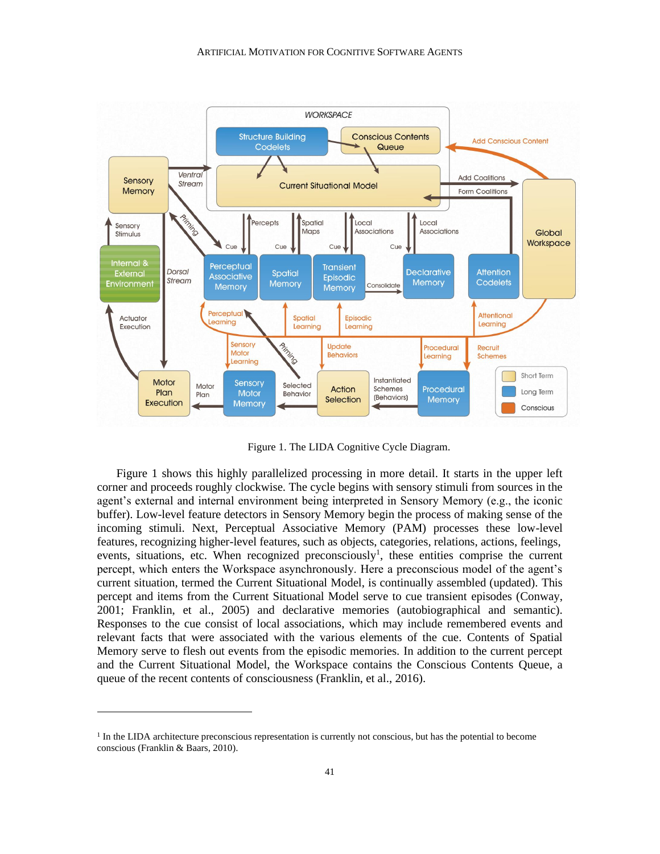

Figure 1. The LIDA Cognitive Cycle Diagram.

Figure 1 shows this highly parallelized processing in more detail. It starts in the upper left corner and proceeds roughly clockwise. The cycle begins with sensory stimuli from sources in the agent's external and internal environment being interpreted in Sensory Memory (e.g., the iconic buffer). Low-level feature detectors in Sensory Memory begin the process of making sense of the incoming stimuli. Next, Perceptual Associative Memory (PAM) processes these low-level features, recognizing higher-level features, such as objects, categories, relations, actions, feelings, events, situations, etc. When recognized preconsciously<sup>1</sup>, these entities comprise the current percept, which enters the Workspace asynchronously. Here a preconscious model of the agent's current situation, termed the Current Situational Model, is continually assembled (updated). This percept and items from the Current Situational Model serve to cue transient episodes (Conway, 2001; Franklin, et al., 2005) and declarative memories (autobiographical and semantic). Responses to the cue consist of local associations, which may include remembered events and relevant facts that were associated with the various elements of the cue. Contents of Spatial Memory serve to flesh out events from the episodic memories. In addition to the current percept and the Current Situational Model, the Workspace contains the Conscious Contents Queue, a queue of the recent contents of consciousness (Franklin, et al., 2016).

<sup>&</sup>lt;sup>1</sup> In the LIDA architecture preconscious representation is currently not conscious, but has the potential to become conscious (Franklin & Baars, 2010).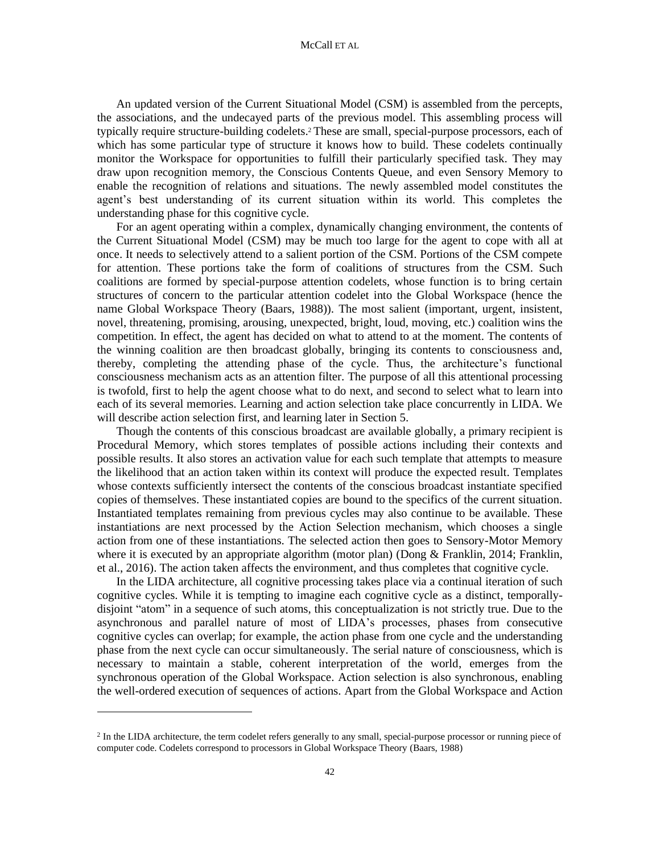An updated version of the Current Situational Model (CSM) is assembled from the percepts, the associations, and the undecayed parts of the previous model. This assembling process will typically require structure-building codelets.<sup>2</sup> These are small, special-purpose processors, each of which has some particular type of structure it knows how to build. These codelets continually monitor the Workspace for opportunities to fulfill their particularly specified task. They may draw upon recognition memory, the Conscious Contents Queue, and even Sensory Memory to enable the recognition of relations and situations. The newly assembled model constitutes the agent's best understanding of its current situation within its world. This completes the understanding phase for this cognitive cycle.

For an agent operating within a complex, dynamically changing environment, the contents of the Current Situational Model (CSM) may be much too large for the agent to cope with all at once. It needs to selectively attend to a salient portion of the CSM. Portions of the CSM compete for attention. These portions take the form of coalitions of structures from the CSM. Such coalitions are formed by special-purpose attention codelets, whose function is to bring certain structures of concern to the particular attention codelet into the Global Workspace (hence the name Global Workspace Theory (Baars, 1988)). The most salient (important, urgent, insistent, novel, threatening, promising, arousing, unexpected, bright, loud, moving, etc.) coalition wins the competition. In effect, the agent has decided on what to attend to at the moment. The contents of the winning coalition are then broadcast globally, bringing its contents to consciousness and, thereby, completing the attending phase of the cycle. Thus, the architecture's functional consciousness mechanism acts as an attention filter. The purpose of all this attentional processing is twofold, first to help the agent choose what to do next, and second to select what to learn into each of its several memories. Learning and action selection take place concurrently in LIDA. We will describe action selection first, and learning later in Section 5.

Though the contents of this conscious broadcast are available globally, a primary recipient is Procedural Memory, which stores templates of possible actions including their contexts and possible results. It also stores an activation value for each such template that attempts to measure the likelihood that an action taken within its context will produce the expected result. Templates whose contexts sufficiently intersect the contents of the conscious broadcast instantiate specified copies of themselves. These instantiated copies are bound to the specifics of the current situation. Instantiated templates remaining from previous cycles may also continue to be available. These instantiations are next processed by the Action Selection mechanism, which chooses a single action from one of these instantiations. The selected action then goes to Sensory-Motor Memory where it is executed by an appropriate algorithm (motor plan) (Dong & Franklin, 2014; Franklin, et al., 2016). The action taken affects the environment, and thus completes that cognitive cycle.

In the LIDA architecture, all cognitive processing takes place via a continual iteration of such cognitive cycles. While it is tempting to imagine each cognitive cycle as a distinct, temporallydisjoint "atom" in a sequence of such atoms, this conceptualization is not strictly true. Due to the asynchronous and parallel nature of most of LIDA's processes, phases from consecutive cognitive cycles can overlap; for example, the action phase from one cycle and the understanding phase from the next cycle can occur simultaneously. The serial nature of consciousness, which is necessary to maintain a stable, coherent interpretation of the world, emerges from the synchronous operation of the Global Workspace. Action selection is also synchronous, enabling the well-ordered execution of sequences of actions. Apart from the Global Workspace and Action

<sup>&</sup>lt;sup>2</sup> In the LIDA architecture, the term codelet refers generally to any small, special-purpose processor or running piece of computer code. Codelets correspond to processors in Global Workspace Theory (Baars, 1988)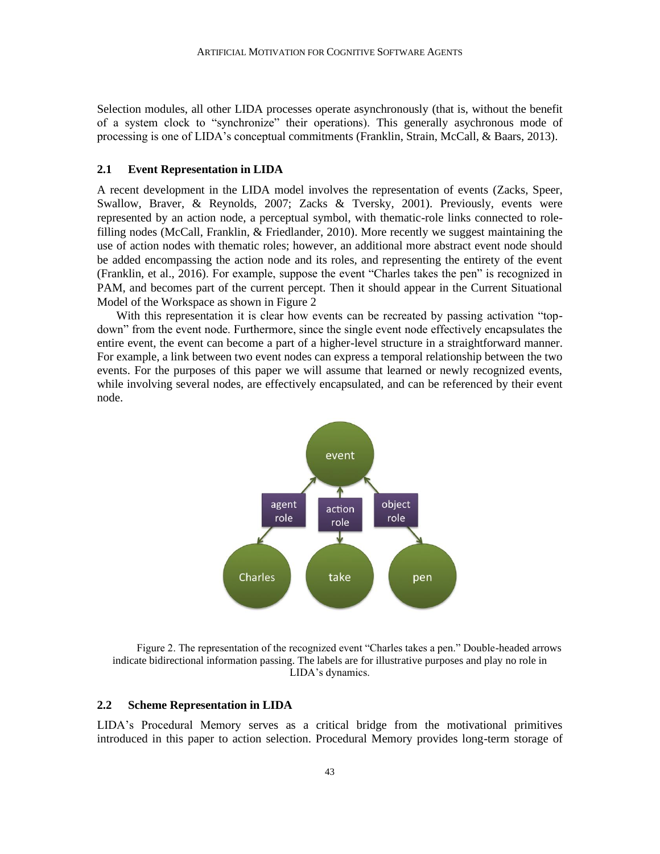Selection modules, all other LIDA processes operate asynchronously (that is, without the benefit of a system clock to "synchronize" their operations). This generally asychronous mode of processing is one of LIDA's conceptual commitments (Franklin, Strain, McCall, & Baars, 2013).

# **2.1 Event Representation in LIDA**

A recent development in the LIDA model involves the representation of events (Zacks, Speer, Swallow, Braver, & Reynolds, 2007; Zacks & Tversky, 2001). Previously, events were represented by an action node, a perceptual symbol, with thematic-role links connected to rolefilling nodes (McCall, Franklin, & Friedlander, 2010). More recently we suggest maintaining the use of action nodes with thematic roles; however, an additional more abstract event node should be added encompassing the action node and its roles, and representing the entirety of the event (Franklin, et al., 2016). For example, suppose the event "Charles takes the pen" is recognized in PAM, and becomes part of the current percept. Then it should appear in the Current Situational Model of the Workspace as shown in Figure 2

With this representation it is clear how events can be recreated by passing activation "topdown" from the event node. Furthermore, since the single event node effectively encapsulates the entire event, the event can become a part of a higher-level structure in a straightforward manner. For example, a link between two event nodes can express a temporal relationship between the two events. For the purposes of this paper we will assume that learned or newly recognized events, while involving several nodes, are effectively encapsulated, and can be referenced by their event node.



Figure 2. The representation of the recognized event "Charles takes a pen." Double-headed arrows indicate bidirectional information passing. The labels are for illustrative purposes and play no role in LIDA's dynamics.

#### **2.2 Scheme Representation in LIDA**

LIDA's Procedural Memory serves as a critical bridge from the motivational primitives introduced in this paper to action selection. Procedural Memory provides long-term storage of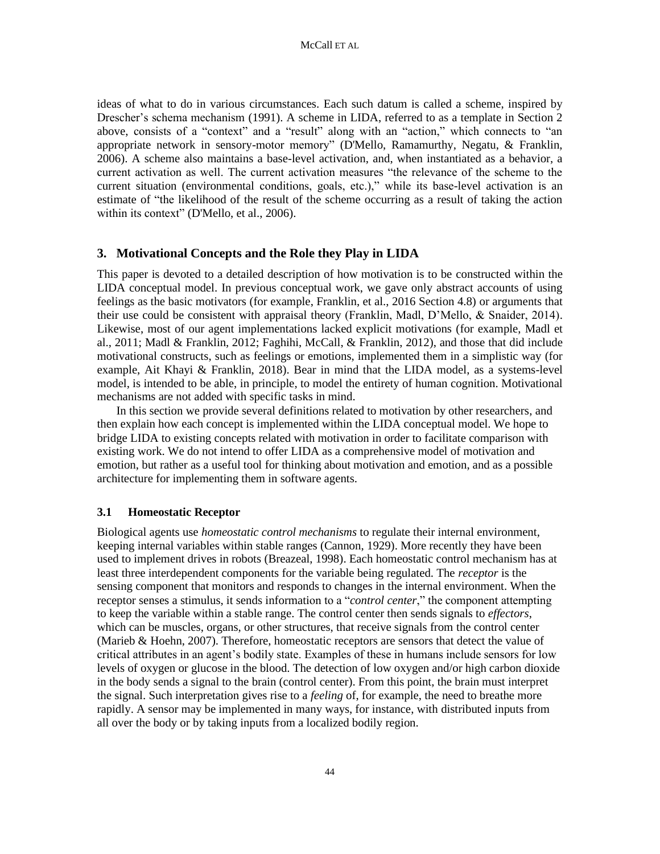ideas of what to do in various circumstances. Each such datum is called a scheme, inspired by Drescher's schema mechanism (1991). A scheme in LIDA, referred to as a template in Section 2 above, consists of a "context" and a "result" along with an "action," which connects to "an appropriate network in sensory-motor memory" (D'Mello, Ramamurthy, Negatu, & Franklin, 2006). A scheme also maintains a base-level activation, and, when instantiated as a behavior, a current activation as well. The current activation measures "the relevance of the scheme to the current situation (environmental conditions, goals, etc.)," while its base-level activation is an estimate of "the likelihood of the result of the scheme occurring as a result of taking the action within its context" (D'Mello, et al., 2006).

## **3. Motivational Concepts and the Role they Play in LIDA**

This paper is devoted to a detailed description of how motivation is to be constructed within the LIDA conceptual model. In previous conceptual work, we gave only abstract accounts of using feelings as the basic motivators (for example, Franklin, et al., 2016 Section 4.8) or arguments that their use could be consistent with appraisal theory (Franklin, Madl, D'Mello, & Snaider, 2014). Likewise, most of our agent implementations lacked explicit motivations (for example, Madl et al., 2011; Madl & Franklin, 2012; Faghihi, McCall, & Franklin, 2012), and those that did include motivational constructs, such as feelings or emotions, implemented them in a simplistic way (for example, Ait Khayi & Franklin, 2018). Bear in mind that the LIDA model, as a systems-level model, is intended to be able, in principle, to model the entirety of human cognition. Motivational mechanisms are not added with specific tasks in mind.

In this section we provide several definitions related to motivation by other researchers, and then explain how each concept is implemented within the LIDA conceptual model. We hope to bridge LIDA to existing concepts related with motivation in order to facilitate comparison with existing work. We do not intend to offer LIDA as a comprehensive model of motivation and emotion, but rather as a useful tool for thinking about motivation and emotion, and as a possible architecture for implementing them in software agents.

## **3.1 Homeostatic Receptor**

Biological agents use *homeostatic control mechanisms* to regulate their internal environment, keeping internal variables within stable ranges (Cannon, 1929). More recently they have been used to implement drives in robots (Breazeal, 1998). Each homeostatic control mechanism has at least three interdependent components for the variable being regulated. The *receptor* is the sensing component that monitors and responds to changes in the internal environment. When the receptor senses a stimulus, it sends information to a "*control center*," the component attempting to keep the variable within a stable range. The control center then sends signals to *effectors*, which can be muscles, organs, or other structures, that receive signals from the control center (Marieb & Hoehn, 2007). Therefore, homeostatic receptors are sensors that detect the value of critical attributes in an agent's bodily state. Examples of these in humans include sensors for low levels of oxygen or glucose in the blood. The detection of low oxygen and/or high carbon dioxide in the body sends a signal to the brain (control center). From this point, the brain must interpret the signal. Such interpretation gives rise to a *feeling* of, for example, the need to breathe more rapidly. A sensor may be implemented in many ways, for instance, with distributed inputs from all over the body or by taking inputs from a localized bodily region.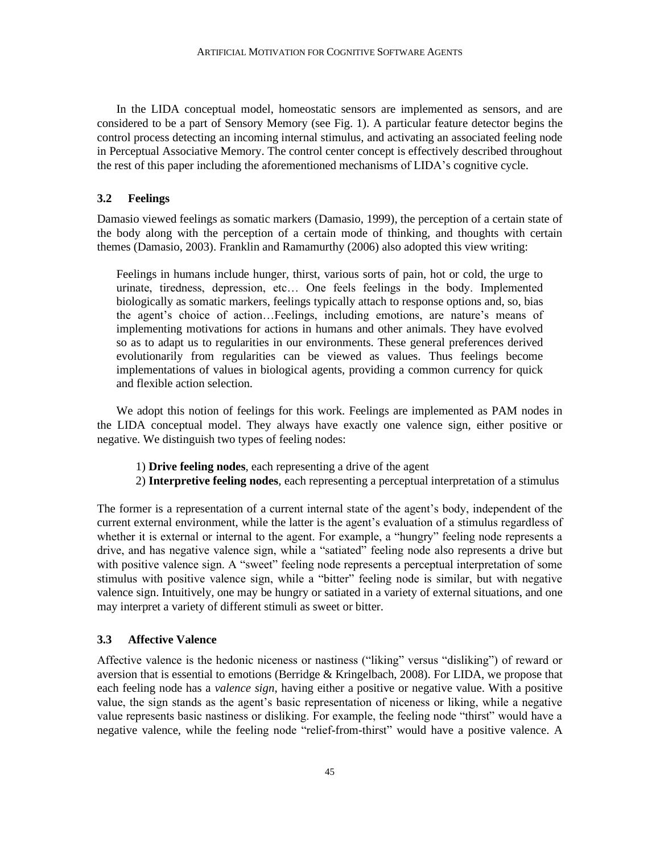In the LIDA conceptual model, homeostatic sensors are implemented as sensors, and are considered to be a part of Sensory Memory (see Fig. 1). A particular feature detector begins the control process detecting an incoming internal stimulus, and activating an associated feeling node in Perceptual Associative Memory. The control center concept is effectively described throughout the rest of this paper including the aforementioned mechanisms of LIDA's cognitive cycle.

#### **3.2 Feelings**

Damasio viewed feelings as somatic markers (Damasio, 1999), the perception of a certain state of the body along with the perception of a certain mode of thinking, and thoughts with certain themes (Damasio, 2003). Franklin and Ramamurthy (2006) also adopted this view writing:

Feelings in humans include hunger, thirst, various sorts of pain, hot or cold, the urge to urinate, tiredness, depression, etc… One feels feelings in the body. Implemented biologically as somatic markers, feelings typically attach to response options and, so, bias the agent's choice of action…Feelings, including emotions, are nature's means of implementing motivations for actions in humans and other animals. They have evolved so as to adapt us to regularities in our environments. These general preferences derived evolutionarily from regularities can be viewed as values. Thus feelings become implementations of values in biological agents, providing a common currency for quick and flexible action selection.

We adopt this notion of feelings for this work. Feelings are implemented as PAM nodes in the LIDA conceptual model. They always have exactly one valence sign, either positive or negative. We distinguish two types of feeling nodes:

1) **Drive feeling nodes**, each representing a drive of the agent

2) **Interpretive feeling nodes**, each representing a perceptual interpretation of a stimulus

The former is a representation of a current internal state of the agent's body, independent of the current external environment, while the latter is the agent's evaluation of a stimulus regardless of whether it is external or internal to the agent. For example, a "hungry" feeling node represents a drive, and has negative valence sign, while a "satiated" feeling node also represents a drive but with positive valence sign. A "sweet" feeling node represents a perceptual interpretation of some stimulus with positive valence sign, while a "bitter" feeling node is similar, but with negative valence sign. Intuitively, one may be hungry or satiated in a variety of external situations, and one may interpret a variety of different stimuli as sweet or bitter.

#### **3.3 Affective Valence**

Affective valence is the hedonic niceness or nastiness ("liking" versus "disliking") of reward or aversion that is essential to emotions (Berridge & Kringelbach, 2008). For LIDA, we propose that each feeling node has a *valence sign*, having either a positive or negative value. With a positive value, the sign stands as the agent's basic representation of niceness or liking, while a negative value represents basic nastiness or disliking. For example, the feeling node "thirst" would have a negative valence, while the feeling node "relief-from-thirst" would have a positive valence. A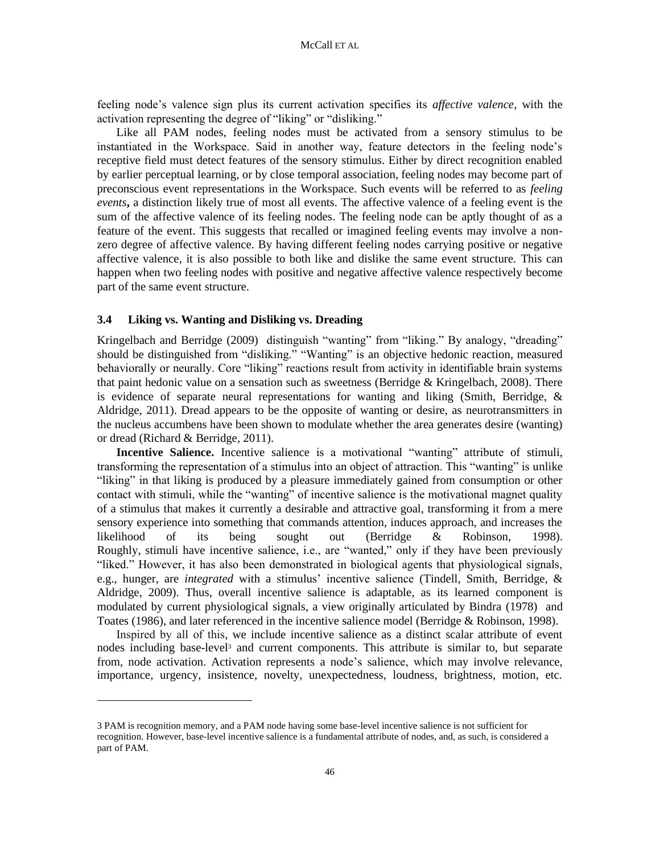feeling node's valence sign plus its current activation specifies its *affective valence*, with the activation representing the degree of "liking" or "disliking."

Like all PAM nodes, feeling nodes must be activated from a sensory stimulus to be instantiated in the Workspace. Said in another way, feature detectors in the feeling node's receptive field must detect features of the sensory stimulus. Either by direct recognition enabled by earlier perceptual learning, or by close temporal association, feeling nodes may become part of preconscious event representations in the Workspace. Such events will be referred to as *feeling events***,** a distinction likely true of most all events. The affective valence of a feeling event is the sum of the affective valence of its feeling nodes. The feeling node can be aptly thought of as a feature of the event. This suggests that recalled or imagined feeling events may involve a nonzero degree of affective valence. By having different feeling nodes carrying positive or negative affective valence, it is also possible to both like and dislike the same event structure. This can happen when two feeling nodes with positive and negative affective valence respectively become part of the same event structure.

#### **3.4 Liking vs. Wanting and Disliking vs. Dreading**

Kringelbach and Berridge (2009) distinguish "wanting" from "liking." By analogy, "dreading" should be distinguished from "disliking." "Wanting" is an objective hedonic reaction, measured behaviorally or neurally. Core "liking" reactions result from activity in identifiable brain systems that paint hedonic value on a sensation such as sweetness (Berridge  $\&$  Kringelbach, 2008). There is evidence of separate neural representations for wanting and liking (Smith, Berridge, & Aldridge, 2011). Dread appears to be the opposite of wanting or desire, as neurotransmitters in the nucleus accumbens have been shown to modulate whether the area generates desire (wanting) or dread (Richard & Berridge, 2011).

**Incentive Salience.** Incentive salience is a motivational "wanting" attribute of stimuli, transforming the representation of a stimulus into an object of attraction. This "wanting" is unlike "liking" in that liking is produced by a pleasure immediately gained from consumption or other contact with stimuli, while the "wanting" of incentive salience is the motivational magnet quality of a stimulus that makes it currently a desirable and attractive goal, transforming it from a mere sensory experience into something that commands attention, induces approach, and increases the likelihood of its being sought out (Berridge & Robinson, 1998). Roughly, stimuli have incentive salience, i.e., are "wanted," only if they have been previously "liked." However, it has also been demonstrated in biological agents that physiological signals, e.g., hunger, are *integrated* with a stimulus' incentive salience (Tindell, Smith, Berridge, & Aldridge, 2009). Thus, overall incentive salience is adaptable, as its learned component is modulated by current physiological signals, a view originally articulated by Bindra (1978) and Toates (1986), and later referenced in the incentive salience model (Berridge & Robinson, 1998).

Inspired by all of this, we include incentive salience as a distinct scalar attribute of event nodes including base-level<sup>3</sup> and current components. This attribute is similar to, but separate from, node activation. Activation represents a node's salience, which may involve relevance, importance, urgency, insistence, novelty, unexpectedness, loudness, brightness, motion, etc.

<sup>3</sup> PAM is recognition memory, and a PAM node having some base-level incentive salience is not sufficient for recognition. However, base-level incentive salience is a fundamental attribute of nodes, and, as such, is considered a part of PAM.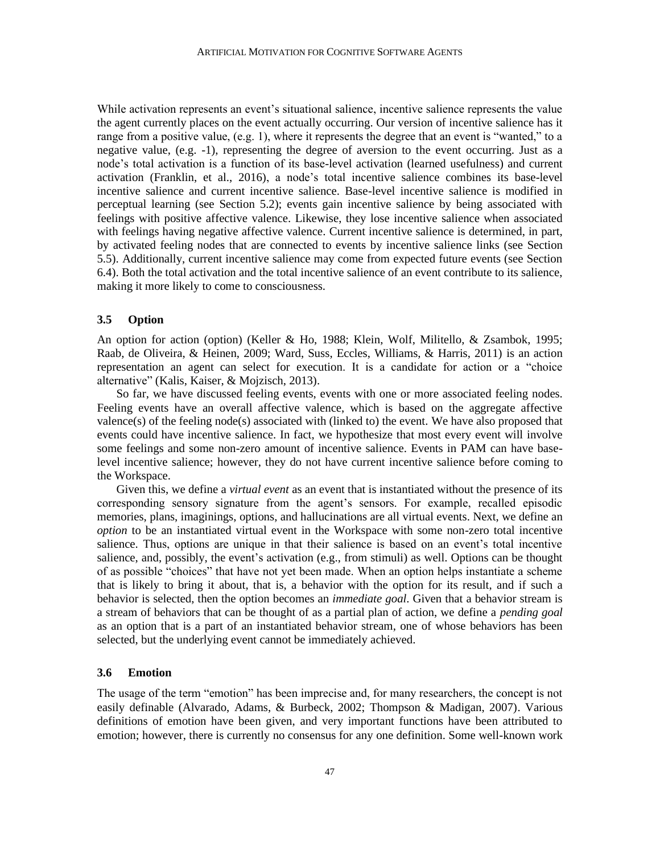While activation represents an event's situational salience, incentive salience represents the value the agent currently places on the event actually occurring. Our version of incentive salience has it range from a positive value, (e.g. 1), where it represents the degree that an event is "wanted," to a negative value, (e.g. -1), representing the degree of aversion to the event occurring. Just as a node's total activation is a function of its base-level activation (learned usefulness) and current activation (Franklin, et al., 2016), a node's total incentive salience combines its base-level incentive salience and current incentive salience. Base-level incentive salience is modified in perceptual learning (see Section 5.2); events gain incentive salience by being associated with feelings with positive affective valence. Likewise, they lose incentive salience when associated with feelings having negative affective valence. Current incentive salience is determined, in part, by activated feeling nodes that are connected to events by incentive salience links (see Section 5.5). Additionally, current incentive salience may come from expected future events (see Section 6.4). Both the total activation and the total incentive salience of an event contribute to its salience, making it more likely to come to consciousness.

#### **3.5 Option**

An option for action (option) (Keller & Ho, 1988; Klein, Wolf, Militello, & Zsambok, 1995; Raab, de Oliveira, & Heinen, 2009; Ward, Suss, Eccles, Williams, & Harris, 2011) is an action representation an agent can select for execution. It is a candidate for action or a "choice alternative" (Kalis, Kaiser, & Mojzisch, 2013).

So far, we have discussed feeling events, events with one or more associated feeling nodes. Feeling events have an overall affective valence, which is based on the aggregate affective valence(s) of the feeling node(s) associated with (linked to) the event. We have also proposed that events could have incentive salience. In fact, we hypothesize that most every event will involve some feelings and some non-zero amount of incentive salience. Events in PAM can have baselevel incentive salience; however, they do not have current incentive salience before coming to the Workspace.

Given this, we define a *virtual event* as an event that is instantiated without the presence of its corresponding sensory signature from the agent's sensors. For example, recalled episodic memories, plans, imaginings, options, and hallucinations are all virtual events. Next, we define an *option* to be an instantiated virtual event in the Workspace with some non-zero total incentive salience. Thus, options are unique in that their salience is based on an event's total incentive salience, and, possibly, the event's activation (e.g., from stimuli) as well. Options can be thought of as possible "choices" that have not yet been made. When an option helps instantiate a scheme that is likely to bring it about, that is, a behavior with the option for its result, and if such a behavior is selected, then the option becomes an *immediate goal*. Given that a behavior stream is a stream of behaviors that can be thought of as a partial plan of action, we define a *pending goal* as an option that is a part of an instantiated behavior stream, one of whose behaviors has been selected, but the underlying event cannot be immediately achieved.

## **3.6 Emotion**

The usage of the term "emotion" has been imprecise and, for many researchers, the concept is not easily definable (Alvarado, Adams, & Burbeck, 2002; Thompson & Madigan, 2007). Various definitions of emotion have been given, and very important functions have been attributed to emotion; however, there is currently no consensus for any one definition. Some well-known work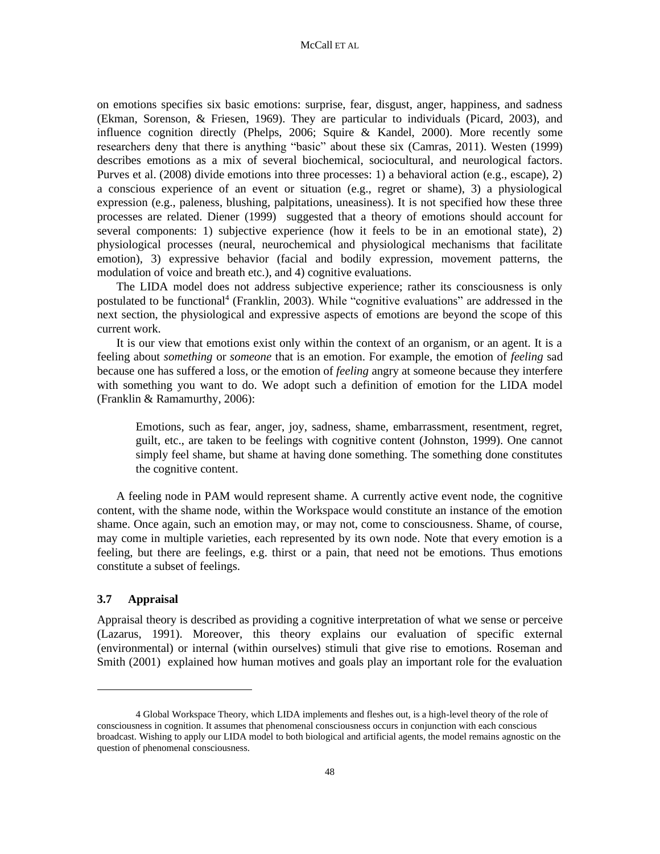on emotions specifies six basic emotions: surprise, fear, disgust, anger, happiness, and sadness (Ekman, Sorenson, & Friesen, 1969). They are particular to individuals (Picard, 2003), and influence cognition directly (Phelps, 2006; Squire  $\&$  Kandel, 2000). More recently some researchers deny that there is anything "basic" about these six (Camras, 2011). Westen (1999) describes emotions as a mix of several biochemical, sociocultural, and neurological factors. Purves et al. (2008) divide emotions into three processes: 1) a behavioral action (e.g., escape), 2) a conscious experience of an event or situation (e.g., regret or shame), 3) a physiological expression (e.g., paleness, blushing, palpitations, uneasiness). It is not specified how these three processes are related. Diener (1999) suggested that a theory of emotions should account for several components: 1) subjective experience (how it feels to be in an emotional state), 2) physiological processes (neural, neurochemical and physiological mechanisms that facilitate emotion), 3) expressive behavior (facial and bodily expression, movement patterns, the modulation of voice and breath etc.), and 4) cognitive evaluations.

The LIDA model does not address subjective experience; rather its consciousness is only postulated to be functional<sup>4</sup> (Franklin, 2003). While "cognitive evaluations" are addressed in the next section, the physiological and expressive aspects of emotions are beyond the scope of this current work.

It is our view that emotions exist only within the context of an organism, or an agent. It is a feeling about *something* or *someone* that is an emotion. For example, the emotion of *feeling* sad because one has suffered a loss, or the emotion of *feeling* angry at someone because they interfere with something you want to do. We adopt such a definition of emotion for the LIDA model (Franklin & Ramamurthy, 2006):

Emotions, such as fear, anger, joy, sadness, shame, embarrassment, resentment, regret, guilt, etc., are taken to be feelings with cognitive content (Johnston, 1999). One cannot simply feel shame, but shame at having done something. The something done constitutes the cognitive content.

A feeling node in PAM would represent shame. A currently active event node, the cognitive content, with the shame node, within the Workspace would constitute an instance of the emotion shame. Once again, such an emotion may, or may not, come to consciousness. Shame, of course, may come in multiple varieties, each represented by its own node. Note that every emotion is a feeling, but there are feelings, e.g. thirst or a pain, that need not be emotions. Thus emotions constitute a subset of feelings.

## **3.7 Appraisal**

Appraisal theory is described as providing a cognitive interpretation of what we sense or perceive (Lazarus, 1991). Moreover, this theory explains our evaluation of specific external (environmental) or internal (within ourselves) stimuli that give rise to emotions. Roseman and Smith (2001) explained how human motives and goals play an important role for the evaluation

<sup>4</sup> Global Workspace Theory, which LIDA implements and fleshes out, is a high-level theory of the role of consciousness in cognition. It assumes that phenomenal consciousness occurs in conjunction with each conscious broadcast. Wishing to apply our LIDA model to both biological and artificial agents, the model remains agnostic on the question of phenomenal consciousness.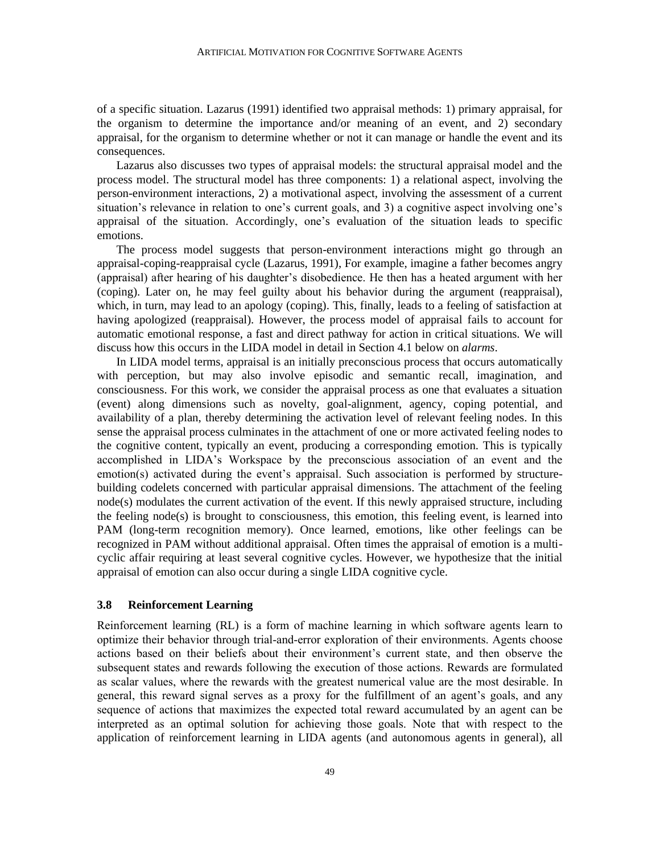of a specific situation. Lazarus (1991) identified two appraisal methods: 1) primary appraisal, for the organism to determine the importance and/or meaning of an event, and 2) secondary appraisal, for the organism to determine whether or not it can manage or handle the event and its consequences.

Lazarus also discusses two types of appraisal models: the structural appraisal model and the process model. The structural model has three components: 1) a relational aspect, involving the person-environment interactions, 2) a motivational aspect, involving the assessment of a current situation's relevance in relation to one's current goals, and 3) a cognitive aspect involving one's appraisal of the situation. Accordingly, one's evaluation of the situation leads to specific emotions.

The process model suggests that person-environment interactions might go through an appraisal-coping-reappraisal cycle (Lazarus, 1991), For example, imagine a father becomes angry (appraisal) after hearing of his daughter's disobedience. He then has a heated argument with her (coping). Later on, he may feel guilty about his behavior during the argument (reappraisal), which, in turn, may lead to an apology (coping). This, finally, leads to a feeling of satisfaction at having apologized (reappraisal). However, the process model of appraisal fails to account for automatic emotional response, a fast and direct pathway for action in critical situations. We will discuss how this occurs in the LIDA model in detail in Section 4.1 below on *alarms*.

In LIDA model terms, appraisal is an initially preconscious process that occurs automatically with perception, but may also involve episodic and semantic recall, imagination, and consciousness. For this work, we consider the appraisal process as one that evaluates a situation (event) along dimensions such as novelty, goal-alignment, agency, coping potential, and availability of a plan, thereby determining the activation level of relevant feeling nodes. In this sense the appraisal process culminates in the attachment of one or more activated feeling nodes to the cognitive content, typically an event, producing a corresponding emotion. This is typically accomplished in LIDA's Workspace by the preconscious association of an event and the emotion(s) activated during the event's appraisal. Such association is performed by structurebuilding codelets concerned with particular appraisal dimensions. The attachment of the feeling node(s) modulates the current activation of the event. If this newly appraised structure, including the feeling node(s) is brought to consciousness, this emotion, this feeling event, is learned into PAM (long-term recognition memory). Once learned, emotions, like other feelings can be recognized in PAM without additional appraisal. Often times the appraisal of emotion is a multicyclic affair requiring at least several cognitive cycles. However, we hypothesize that the initial appraisal of emotion can also occur during a single LIDA cognitive cycle.

## **3.8 Reinforcement Learning**

Reinforcement learning (RL) is a form of machine learning in which software agents learn to optimize their behavior through trial-and-error exploration of their environments. Agents choose actions based on their beliefs about their environment's current state, and then observe the subsequent states and rewards following the execution of those actions. Rewards are formulated as scalar values, where the rewards with the greatest numerical value are the most desirable. In general, this reward signal serves as a proxy for the fulfillment of an agent's goals, and any sequence of actions that maximizes the expected total reward accumulated by an agent can be interpreted as an optimal solution for achieving those goals. Note that with respect to the application of reinforcement learning in LIDA agents (and autonomous agents in general), all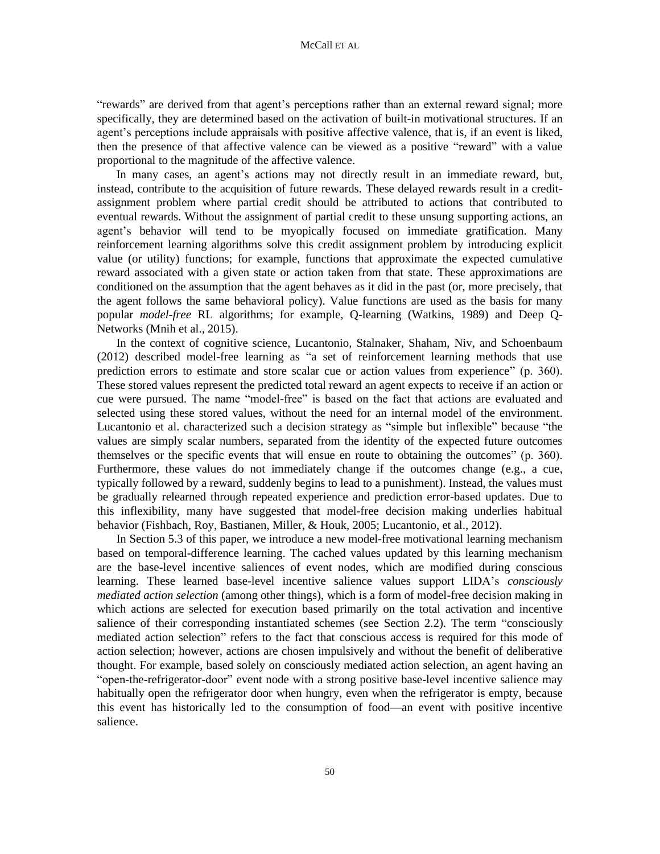"rewards" are derived from that agent's perceptions rather than an external reward signal; more specifically, they are determined based on the activation of built-in motivational structures. If an agent's perceptions include appraisals with positive affective valence, that is, if an event is liked, then the presence of that affective valence can be viewed as a positive "reward" with a value proportional to the magnitude of the affective valence.

In many cases, an agent's actions may not directly result in an immediate reward, but, instead, contribute to the acquisition of future rewards. These delayed rewards result in a creditassignment problem where partial credit should be attributed to actions that contributed to eventual rewards. Without the assignment of partial credit to these unsung supporting actions, an agent's behavior will tend to be myopically focused on immediate gratification. Many reinforcement learning algorithms solve this credit assignment problem by introducing explicit value (or utility) functions; for example, functions that approximate the expected cumulative reward associated with a given state or action taken from that state. These approximations are conditioned on the assumption that the agent behaves as it did in the past (or, more precisely, that the agent follows the same behavioral policy). Value functions are used as the basis for many popular *model-free* RL algorithms; for example, Q-learning (Watkins, 1989) and Deep Q-Networks (Mnih et al., 2015).

In the context of cognitive science, Lucantonio, Stalnaker, Shaham, Niv, and Schoenbaum (2012) described model-free learning as "a set of reinforcement learning methods that use prediction errors to estimate and store scalar cue or action values from experience" (p. 360). These stored values represent the predicted total reward an agent expects to receive if an action or cue were pursued. The name "model-free" is based on the fact that actions are evaluated and selected using these stored values, without the need for an internal model of the environment. Lucantonio et al. characterized such a decision strategy as "simple but inflexible" because "the values are simply scalar numbers, separated from the identity of the expected future outcomes themselves or the specific events that will ensue en route to obtaining the outcomes" (p. 360). Furthermore, these values do not immediately change if the outcomes change (e.g., a cue, typically followed by a reward, suddenly begins to lead to a punishment). Instead, the values must be gradually relearned through repeated experience and prediction error-based updates. Due to this inflexibility, many have suggested that model-free decision making underlies habitual behavior (Fishbach, Roy, Bastianen, Miller, & Houk, 2005; Lucantonio, et al., 2012).

In Section 5.3 of this paper, we introduce a new model-free motivational learning mechanism based on temporal-difference learning. The cached values updated by this learning mechanism are the base-level incentive saliences of event nodes, which are modified during conscious learning. These learned base-level incentive salience values support LIDA's *consciously mediated action selection* (among other things), which is a form of model-free decision making in which actions are selected for execution based primarily on the total activation and incentive salience of their corresponding instantiated schemes (see Section 2.2). The term "consciously mediated action selection" refers to the fact that conscious access is required for this mode of action selection; however, actions are chosen impulsively and without the benefit of deliberative thought. For example, based solely on consciously mediated action selection, an agent having an "open-the-refrigerator-door" event node with a strong positive base-level incentive salience may habitually open the refrigerator door when hungry, even when the refrigerator is empty, because this event has historically led to the consumption of food—an event with positive incentive salience.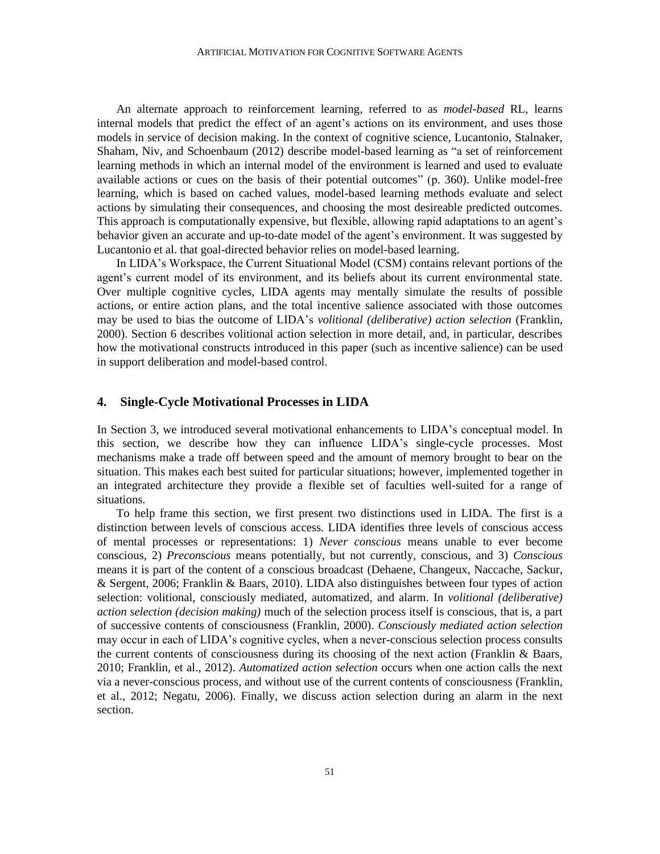An alternate approach to reinforcement learning, referred to as *model-based* RL, learns internal models that predict the effect of an agent's actions on its environment, and uses those models in service of decision making. In the context of cognitive science, Lucantonio, Stalnaker, Shaham, Niv, and Schoenbaum (2012) describe model-based learning as "a set of reinforcement learning methods in which an internal model of the environment is learned and used to evaluate available actions or cues on the basis of their potential outcomes" (p. 360). Unlike model-free learning, which is based on cached values, model-based learning methods evaluate and select actions by simulating their consequences, and choosing the most desireable predicted outcomes. This approach is computationally expensive, but flexible, allowing rapid adaptations to an agent's behavior given an accurate and up-to-date model of the agent's environment. It was suggested by Lucantonio et al. that goal-directed behavior relies on model-based learning.

In LIDA's Workspace, the Current Situational Model (CSM) contains relevant portions of the agent's current model of its environment, and its beliefs about its current environmental state. Over multiple cognitive cycles, LIDA agents may mentally simulate the results of possible actions, or entire action plans, and the total incentive salience associated with those outcomes may be used to bias the outcome of LIDA's *volitional (deliberative) action selection* (Franklin, 2000). Section 6 describes volitional action selection in more detail, and, in particular, describes how the motivational constructs introduced in this paper (such as incentive salience) can be used in support deliberation and model-based control.

#### **4. Single-Cycle Motivational Processes in LIDA**

In Section 3, we introduced several motivational enhancements to LIDA's conceptual model. In this section, we describe how they can influence LIDA's single-cycle processes. Most mechanisms make a trade off between speed and the amount of memory brought to bear on the situation. This makes each best suited for particular situations; however, implemented together in an integrated architecture they provide a flexible set of faculties well-suited for a range of situations.

To help frame this section, we first present two distinctions used in LIDA. The first is a distinction between levels of conscious access. LIDA identifies three levels of conscious access of mental processes or representations: 1) *Never conscious* means unable to ever become conscious, 2) *Preconscious* means potentially, but not currently, conscious, and 3) *Conscious* means it is part of the content of a conscious broadcast (Dehaene, Changeux, Naccache, Sackur, & Sergent, 2006; Franklin & Baars, 2010). LIDA also distinguishes between four types of action selection: volitional, consciously mediated, automatized, and alarm. In *volitional (deliberative) action selection (decision making)* much of the selection process itself is conscious, that is, a part of successive contents of consciousness (Franklin, 2000). *Consciously mediated action selection* may occur in each of LIDA's cognitive cycles, when a never-conscious selection process consults the current contents of consciousness during its choosing of the next action (Franklin & Baars, 2010; Franklin, et al., 2012). *Automatized action selection* occurs when one action calls the next via a never-conscious process, and without use of the current contents of consciousness (Franklin, et al., 2012; Negatu, 2006). Finally, we discuss action selection during an alarm in the next section.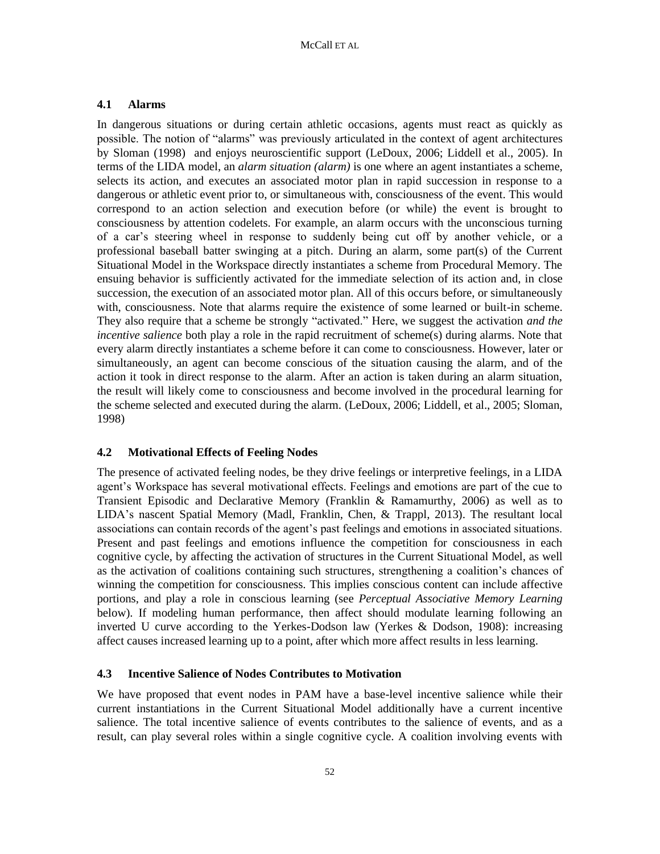## **4.1 Alarms**

In dangerous situations or during certain athletic occasions, agents must react as quickly as possible. The notion of "alarms" was previously articulated in the context of agent architectures by Sloman (1998) and enjoys neuroscientific support (LeDoux, 2006; Liddell et al., 2005). In terms of the LIDA model, an *alarm situation (alarm)* is one where an agent instantiates a scheme, selects its action, and executes an associated motor plan in rapid succession in response to a dangerous or athletic event prior to, or simultaneous with, consciousness of the event. This would correspond to an action selection and execution before (or while) the event is brought to consciousness by attention codelets. For example, an alarm occurs with the unconscious turning of a car's steering wheel in response to suddenly being cut off by another vehicle, or a professional baseball batter swinging at a pitch. During an alarm, some part(s) of the Current Situational Model in the Workspace directly instantiates a scheme from Procedural Memory. The ensuing behavior is sufficiently activated for the immediate selection of its action and, in close succession, the execution of an associated motor plan. All of this occurs before, or simultaneously with, consciousness. Note that alarms require the existence of some learned or built-in scheme. They also require that a scheme be strongly "activated." Here, we suggest the activation *and the incentive salience* both play a role in the rapid recruitment of scheme(s) during alarms. Note that every alarm directly instantiates a scheme before it can come to consciousness. However, later or simultaneously, an agent can become conscious of the situation causing the alarm, and of the action it took in direct response to the alarm. After an action is taken during an alarm situation, the result will likely come to consciousness and become involved in the procedural learning for the scheme selected and executed during the alarm. (LeDoux, 2006; Liddell, et al., 2005; Sloman, 1998)

## **4.2 Motivational Effects of Feeling Nodes**

The presence of activated feeling nodes, be they drive feelings or interpretive feelings, in a LIDA agent's Workspace has several motivational effects. Feelings and emotions are part of the cue to Transient Episodic and Declarative Memory (Franklin & Ramamurthy, 2006) as well as to LIDA's nascent Spatial Memory (Madl, Franklin, Chen, & Trappl, 2013). The resultant local associations can contain records of the agent's past feelings and emotions in associated situations. Present and past feelings and emotions influence the competition for consciousness in each cognitive cycle, by affecting the activation of structures in the Current Situational Model, as well as the activation of coalitions containing such structures, strengthening a coalition's chances of winning the competition for consciousness. This implies conscious content can include affective portions, and play a role in conscious learning (see *Perceptual Associative Memory Learning* below). If modeling human performance, then affect should modulate learning following an inverted U curve according to the Yerkes-Dodson law (Yerkes & Dodson, 1908): increasing affect causes increased learning up to a point, after which more affect results in less learning.

## **4.3 Incentive Salience of Nodes Contributes to Motivation**

We have proposed that event nodes in PAM have a base-level incentive salience while their current instantiations in the Current Situational Model additionally have a current incentive salience. The total incentive salience of events contributes to the salience of events, and as a result, can play several roles within a single cognitive cycle. A coalition involving events with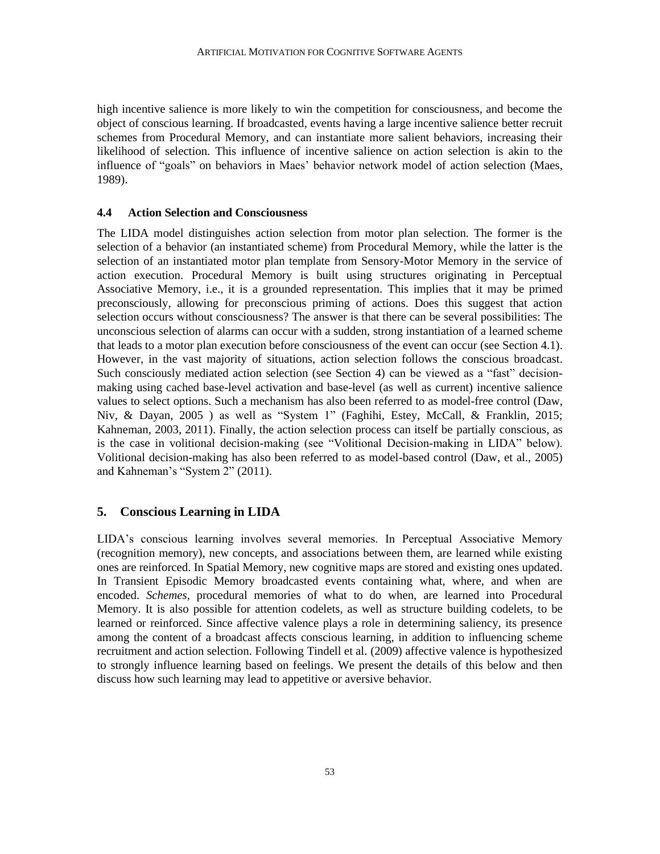high incentive salience is more likely to win the competition for consciousness, and become the object of conscious learning. If broadcasted, events having a large incentive salience better recruit schemes from Procedural Memory, and can instantiate more salient behaviors, increasing their likelihood of selection. This influence of incentive salience on action selection is akin to the influence of "goals" on behaviors in Maes' behavior network model of action selection (Maes, 1989).

## **4.4 Action Selection and Consciousness**

The LIDA model distinguishes action selection from motor plan selection. The former is the selection of a behavior (an instantiated scheme) from Procedural Memory, while the latter is the selection of an instantiated motor plan template from Sensory-Motor Memory in the service of action execution. Procedural Memory is built using structures originating in Perceptual Associative Memory, i.e., it is a grounded representation. This implies that it may be primed preconsciously, allowing for preconscious priming of actions. Does this suggest that action selection occurs without consciousness? The answer is that there can be several possibilities: The unconscious selection of alarms can occur with a sudden, strong instantiation of a learned scheme that leads to a motor plan execution before consciousness of the event can occur (see Section 4.1). However, in the vast majority of situations, action selection follows the conscious broadcast. Such consciously mediated action selection (see Section 4) can be viewed as a "fast" decisionmaking using cached base-level activation and base-level (as well as current) incentive salience values to select options. Such a mechanism has also been referred to as model-free control (Daw, Niv, & Dayan, 2005 ) as well as "System 1" (Faghihi, Estey, McCall, & Franklin, 2015; Kahneman, 2003, 2011). Finally, the action selection process can itself be partially conscious, as is the case in volitional decision-making (see "Volitional Decision-making in LIDA" below). Volitional decision-making has also been referred to as model-based control (Daw, et al., 2005) and Kahneman's "System 2" (2011).

## **5. Conscious Learning in LIDA**

LIDA's conscious learning involves several memories. In Perceptual Associative Memory (recognition memory), new concepts, and associations between them, are learned while existing ones are reinforced. In Spatial Memory, new cognitive maps are stored and existing ones updated. In Transient Episodic Memory broadcasted events containing what, where, and when are encoded. *Schemes*, procedural memories of what to do when, are learned into Procedural Memory. It is also possible for attention codelets, as well as structure building codelets, to be learned or reinforced. Since affective valence plays a role in determining saliency, its presence among the content of a broadcast affects conscious learning, in addition to influencing scheme recruitment and action selection. Following Tindell et al. (2009) affective valence is hypothesized to strongly influence learning based on feelings. We present the details of this below and then discuss how such learning may lead to appetitive or aversive behavior.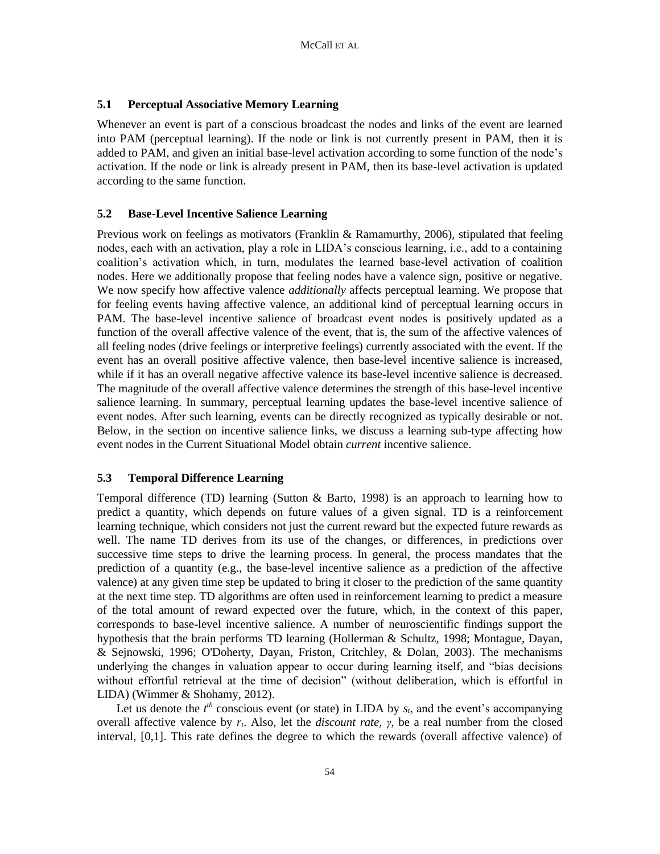# **5.1 Perceptual Associative Memory Learning**

Whenever an event is part of a conscious broadcast the nodes and links of the event are learned into PAM (perceptual learning). If the node or link is not currently present in PAM, then it is added to PAM, and given an initial base-level activation according to some function of the node's activation. If the node or link is already present in PAM, then its base-level activation is updated according to the same function.

# **5.2 Base-Level Incentive Salience Learning**

Previous work on feelings as motivators (Franklin & Ramamurthy, 2006), stipulated that feeling nodes, each with an activation, play a role in LIDA's conscious learning, i.e., add to a containing coalition's activation which, in turn, modulates the learned base-level activation of coalition nodes. Here we additionally propose that feeling nodes have a valence sign, positive or negative. We now specify how affective valence *additionally* affects perceptual learning. We propose that for feeling events having affective valence, an additional kind of perceptual learning occurs in PAM. The base-level incentive salience of broadcast event nodes is positively updated as a function of the overall affective valence of the event, that is, the sum of the affective valences of all feeling nodes (drive feelings or interpretive feelings) currently associated with the event. If the event has an overall positive affective valence, then base-level incentive salience is increased, while if it has an overall negative affective valence its base-level incentive salience is decreased. The magnitude of the overall affective valence determines the strength of this base-level incentive salience learning. In summary, perceptual learning updates the base-level incentive salience of event nodes. After such learning, events can be directly recognized as typically desirable or not. Below, in the section on incentive salience links, we discuss a learning sub-type affecting how event nodes in the Current Situational Model obtain *current* incentive salience.

## **5.3 Temporal Difference Learning**

Temporal difference (TD) learning (Sutton & Barto, 1998) is an approach to learning how to predict a quantity, which depends on future values of a given signal. TD is a reinforcement learning technique, which considers not just the current reward but the expected future rewards as well. The name TD derives from its use of the changes, or differences, in predictions over successive time steps to drive the learning process. In general, the process mandates that the prediction of a quantity (e.g., the base-level incentive salience as a prediction of the affective valence) at any given time step be updated to bring it closer to the prediction of the same quantity at the next time step. TD algorithms are often used in reinforcement learning to predict a measure of the total amount of reward expected over the future, which, in the context of this paper, corresponds to base-level incentive salience. A number of neuroscientific findings support the hypothesis that the brain performs TD learning (Hollerman & Schultz, 1998; Montague, Dayan, & Sejnowski, 1996; O'Doherty, Dayan, Friston, Critchley, & Dolan, 2003). The mechanisms underlying the changes in valuation appear to occur during learning itself, and "bias decisions without effortful retrieval at the time of decision" (without deliberation, which is effortful in LIDA) (Wimmer & Shohamy, 2012).

Let us denote the  $t^{th}$  conscious event (or state) in LIDA by  $s_t$ , and the event's accompanying overall affective valence by *rt*. Also, let the *discount rate*, *γ*, be a real number from the closed interval, [0,1]. This rate defines the degree to which the rewards (overall affective valence) of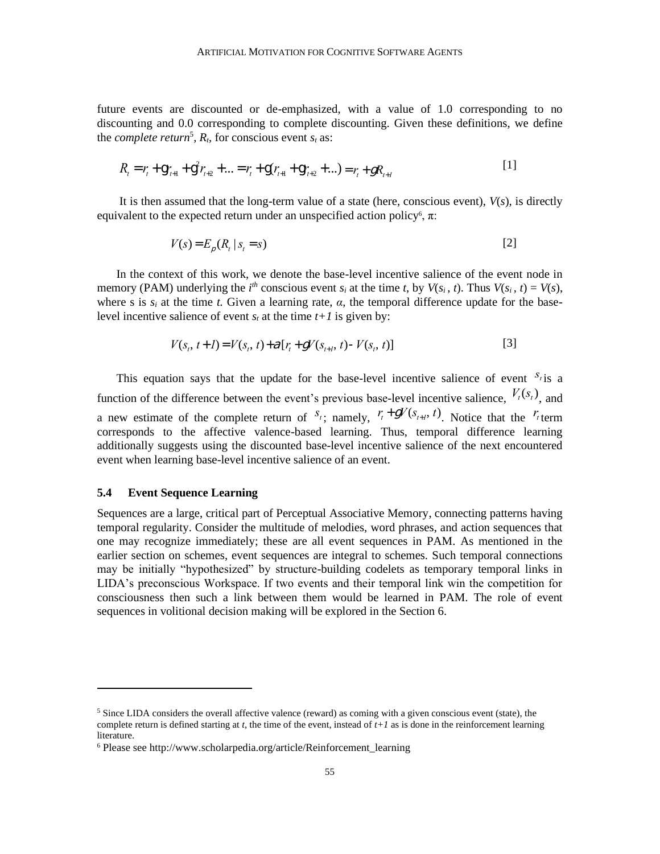future events are discounted or de-emphasized, with a value of 1.0 corresponding to no discounting and 0.0 corresponding to complete discounting. Given these definitions, we define the *complete return*<sup>5</sup>,  $R_t$ , for conscious event  $s_t$  as:

$$
R_{t} = r_{t} + 9r_{t+1} + 9^{2}r_{t+2} + ... = r_{t} + 9(r_{t+1} + 9r_{t+2} + ...) = r_{t} + gR_{t+1}
$$
\n<sup>(1)</sup>

It is then assumed that the long-term value of a state (here, conscious event),  $V(s)$ , is directly equivalent to the expected return under an unspecified action policy<sup>6</sup>,  $\pi$ :

$$
V(s) = E_p(R_t \mid s_t = s) \tag{2}
$$

In the context of this work, we denote the base-level incentive salience of the event node in memory (PAM) underlying the *i*<sup>th</sup> conscious event  $s_i$  at the time *t*, by  $V(s_i, t)$ . Thus  $V(s_i, t) = V(s)$ , where s is  $s_i$  at the time *t*. Given a learning rate,  $\alpha$ , the temporal difference update for the baselevel incentive salience of event  $s_t$  at the time  $t+1$  is given by:

$$
V(s_t, t+1) = V(s_t, t) + \mathcal{A}[r_t + gV(s_{t+1}, t) - V(s_t, t)]
$$
\n[3]

This equation says that the update for the base-level incentive salience of event  $s_t$  is a function of the difference between the event's previous base-level incentive salience,  $V_t(s_t)$ , and a new estimate of the complete return of  $S_t$ ; namely,  $r_t + \mathcal{F}V(s_{t+1}, t)$ . Notice that the  $r_t$  term corresponds to the affective valence-based learning. Thus, temporal difference learning additionally suggests using the discounted base-level incentive salience of the next encountered event when learning base-level incentive salience of an event.

#### **5.4 Event Sequence Learning**

Sequences are a large, critical part of Perceptual Associative Memory, connecting patterns having temporal regularity. Consider the multitude of melodies, word phrases, and action sequences that one may recognize immediately; these are all event sequences in PAM. As mentioned in the earlier section on schemes, event sequences are integral to schemes. Such temporal connections may be initially "hypothesized" by structure-building codelets as temporary temporal links in LIDA's preconscious Workspace. If two events and their temporal link win the competition for consciousness then such a link between them would be learned in PAM. The role of event sequences in volitional decision making will be explored in the Section 6.

 $<sup>5</sup>$  Since LIDA considers the overall affective valence (reward) as coming with a given conscious event (state), the</sup> complete return is defined starting at  $t$ , the time of the event, instead of  $t+1$  as is done in the reinforcement learning literature.

<sup>6</sup> Please see http://www.scholarpedia.org/article/Reinforcement\_learning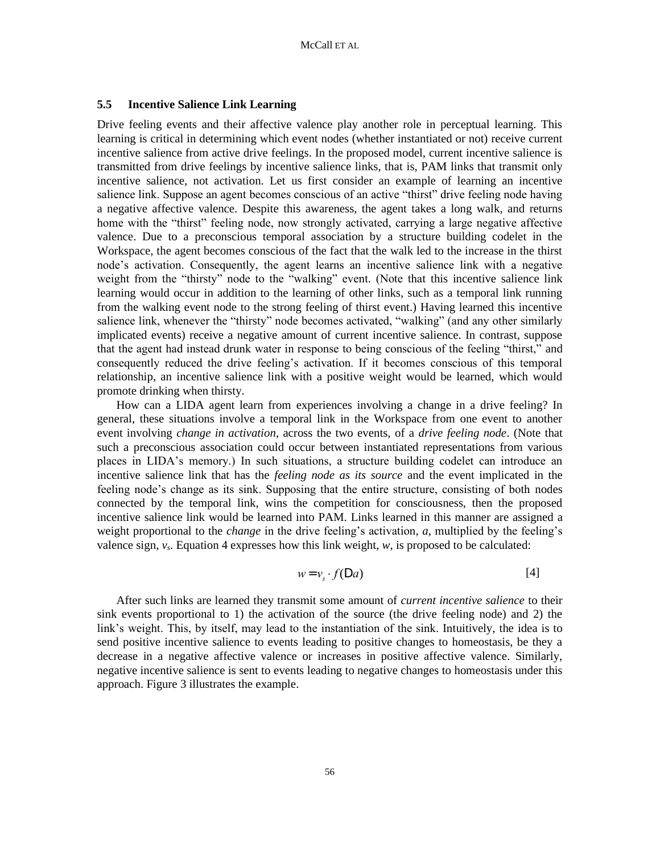## **5.5 Incentive Salience Link Learning**

Drive feeling events and their affective valence play another role in perceptual learning. This learning is critical in determining which event nodes (whether instantiated or not) receive current incentive salience from active drive feelings. In the proposed model, current incentive salience is transmitted from drive feelings by incentive salience links, that is, PAM links that transmit only incentive salience, not activation. Let us first consider an example of learning an incentive salience link. Suppose an agent becomes conscious of an active "thirst" drive feeling node having a negative affective valence. Despite this awareness, the agent takes a long walk, and returns home with the "thirst" feeling node, now strongly activated, carrying a large negative affective valence. Due to a preconscious temporal association by a structure building codelet in the Workspace, the agent becomes conscious of the fact that the walk led to the increase in the thirst node's activation. Consequently, the agent learns an incentive salience link with a negative weight from the "thirsty" node to the "walking" event. (Note that this incentive salience link learning would occur in addition to the learning of other links, such as a temporal link running from the walking event node to the strong feeling of thirst event.) Having learned this incentive salience link, whenever the "thirsty" node becomes activated, "walking" (and any other similarly implicated events) receive a negative amount of current incentive salience. In contrast, suppose that the agent had instead drunk water in response to being conscious of the feeling "thirst," and consequently reduced the drive feeling's activation. If it becomes conscious of this temporal relationship, an incentive salience link with a positive weight would be learned, which would promote drinking when thirsty.

How can a LIDA agent learn from experiences involving a change in a drive feeling? In general, these situations involve a temporal link in the Workspace from one event to another event involving *change in activation*, across the two events, of a *drive feeling node*. (Note that such a preconscious association could occur between instantiated representations from various places in LIDA's memory.) In such situations, a structure building codelet can introduce an incentive salience link that has the *feeling node as its source* and the event implicated in the feeling node's change as its sink. Supposing that the entire structure, consisting of both nodes connected by the temporal link, wins the competition for consciousness, then the proposed incentive salience link would be learned into PAM. Links learned in this manner are assigned a weight proportional to the *change* in the drive feeling's activation*, a*, multiplied by the feeling's valence sign,  $v_s$ . Equation 4 expresses how this link weight,  $w_s$ , is proposed to be calculated:

$$
w = v_s \cdot f(\mathsf{D}\,a) \tag{4}
$$

After such links are learned they transmit some amount of *current incentive salience* to their sink events proportional to 1) the activation of the source (the drive feeling node) and 2) the link's weight. This, by itself, may lead to the instantiation of the sink. Intuitively, the idea is to send positive incentive salience to events leading to positive changes to homeostasis, be they a decrease in a negative affective valence or increases in positive affective valence. Similarly, negative incentive salience is sent to events leading to negative changes to homeostasis under this approach. Figure 3 illustrates the example.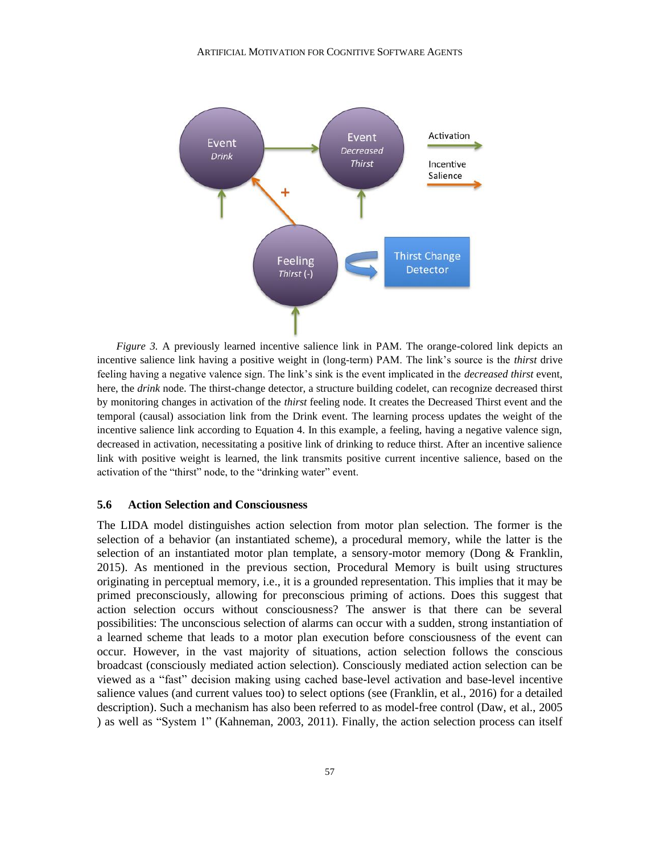

*Figure 3.* A previously learned incentive salience link in PAM. The orange-colored link depicts an incentive salience link having a positive weight in (long-term) PAM. The link's source is the *thirst* drive feeling having a negative valence sign. The link's sink is the event implicated in the *decreased thirst* event, here, the *drink* node. The thirst-change detector, a structure building codelet, can recognize decreased thirst by monitoring changes in activation of the *thirst* feeling node. It creates the Decreased Thirst event and the temporal (causal) association link from the Drink event. The learning process updates the weight of the incentive salience link according to Equation 4. In this example, a feeling, having a negative valence sign, decreased in activation, necessitating a positive link of drinking to reduce thirst. After an incentive salience link with positive weight is learned, the link transmits positive current incentive salience, based on the activation of the "thirst" node, to the "drinking water" event.

## **5.6 Action Selection and Consciousness**

The LIDA model distinguishes action selection from motor plan selection. The former is the selection of a behavior (an instantiated scheme), a procedural memory, while the latter is the selection of an instantiated motor plan template, a sensory-motor memory (Dong & Franklin, 2015). As mentioned in the previous section, Procedural Memory is built using structures originating in perceptual memory, i.e., it is a grounded representation. This implies that it may be primed preconsciously, allowing for preconscious priming of actions. Does this suggest that action selection occurs without consciousness? The answer is that there can be several possibilities: The unconscious selection of alarms can occur with a sudden, strong instantiation of a learned scheme that leads to a motor plan execution before consciousness of the event can occur. However, in the vast majority of situations, action selection follows the conscious broadcast (consciously mediated action selection). Consciously mediated action selection can be viewed as a "fast" decision making using cached base-level activation and base-level incentive salience values (and current values too) to select options (see (Franklin, et al., 2016) for a detailed description). Such a mechanism has also been referred to as model-free control (Daw, et al., 2005 ) as well as "System 1" (Kahneman, 2003, 2011). Finally, the action selection process can itself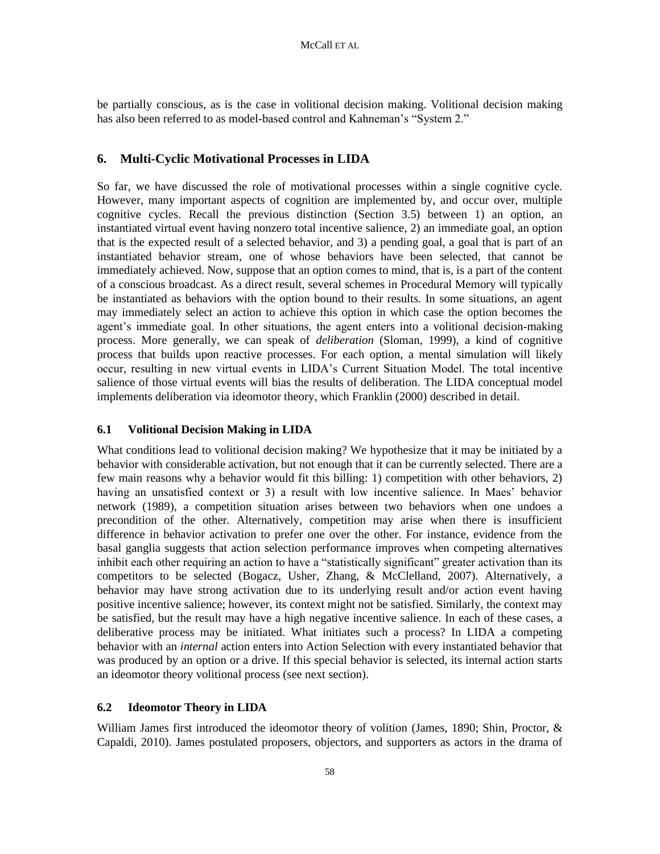be partially conscious, as is the case in volitional decision making. Volitional decision making has also been referred to as model-based control and Kahneman's "System 2."

# **6. Multi-Cyclic Motivational Processes in LIDA**

So far, we have discussed the role of motivational processes within a single cognitive cycle. However, many important aspects of cognition are implemented by, and occur over, multiple cognitive cycles. Recall the previous distinction (Section 3.5) between 1) an option, an instantiated virtual event having nonzero total incentive salience, 2) an immediate goal, an option that is the expected result of a selected behavior, and 3) a pending goal, a goal that is part of an instantiated behavior stream, one of whose behaviors have been selected, that cannot be immediately achieved. Now, suppose that an option comes to mind, that is, is a part of the content of a conscious broadcast. As a direct result, several schemes in Procedural Memory will typically be instantiated as behaviors with the option bound to their results. In some situations, an agent may immediately select an action to achieve this option in which case the option becomes the agent's immediate goal. In other situations, the agent enters into a volitional decision-making process. More generally, we can speak of *deliberation* (Sloman, 1999), a kind of cognitive process that builds upon reactive processes. For each option, a mental simulation will likely occur, resulting in new virtual events in LIDA's Current Situation Model. The total incentive salience of those virtual events will bias the results of deliberation. The LIDA conceptual model implements deliberation via ideomotor theory, which Franklin (2000) described in detail.

## **6.1 Volitional Decision Making in LIDA**

What conditions lead to volitional decision making? We hypothesize that it may be initiated by a behavior with considerable activation, but not enough that it can be currently selected. There are a few main reasons why a behavior would fit this billing: 1) competition with other behaviors, 2) having an unsatisfied context or 3) a result with low incentive salience. In Maes' behavior network (1989), a competition situation arises between two behaviors when one undoes a precondition of the other. Alternatively, competition may arise when there is insufficient difference in behavior activation to prefer one over the other. For instance, evidence from the basal ganglia suggests that action selection performance improves when competing alternatives inhibit each other requiring an action to have a "statistically significant" greater activation than its competitors to be selected (Bogacz, Usher, Zhang, & McClelland, 2007). Alternatively, a behavior may have strong activation due to its underlying result and/or action event having positive incentive salience; however, its context might not be satisfied. Similarly, the context may be satisfied, but the result may have a high negative incentive salience. In each of these cases, a deliberative process may be initiated. What initiates such a process? In LIDA a competing behavior with an *internal* action enters into Action Selection with every instantiated behavior that was produced by an option or a drive. If this special behavior is selected, its internal action starts an ideomotor theory volitional process (see next section).

## **6.2 Ideomotor Theory in LIDA**

William James first introduced the ideomotor theory of volition (James, 1890; Shin, Proctor, & Capaldi, 2010). James postulated proposers, objectors, and supporters as actors in the drama of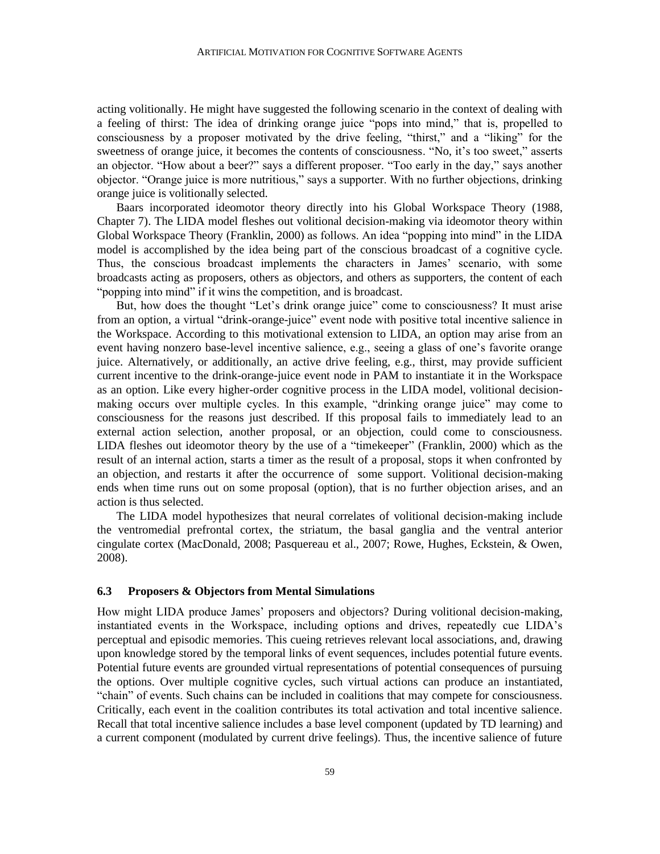acting volitionally. He might have suggested the following scenario in the context of dealing with a feeling of thirst: The idea of drinking orange juice "pops into mind," that is, propelled to consciousness by a proposer motivated by the drive feeling, "thirst," and a "liking" for the sweetness of orange juice, it becomes the contents of consciousness. "No, it's too sweet," asserts an objector. "How about a beer?" says a different proposer. "Too early in the day," says another objector. "Orange juice is more nutritious," says a supporter. With no further objections, drinking orange juice is volitionally selected.

Baars incorporated ideomotor theory directly into his Global Workspace Theory (1988, Chapter 7). The LIDA model fleshes out volitional decision-making via ideomotor theory within Global Workspace Theory (Franklin, 2000) as follows. An idea "popping into mind" in the LIDA model is accomplished by the idea being part of the conscious broadcast of a cognitive cycle. Thus, the conscious broadcast implements the characters in James' scenario, with some broadcasts acting as proposers, others as objectors, and others as supporters, the content of each "popping into mind" if it wins the competition, and is broadcast.

But, how does the thought "Let's drink orange juice" come to consciousness? It must arise from an option, a virtual "drink-orange-juice" event node with positive total incentive salience in the Workspace. According to this motivational extension to LIDA, an option may arise from an event having nonzero base-level incentive salience, e.g., seeing a glass of one's favorite orange juice. Alternatively, or additionally, an active drive feeling, e.g., thirst, may provide sufficient current incentive to the drink-orange-juice event node in PAM to instantiate it in the Workspace as an option. Like every higher-order cognitive process in the LIDA model, volitional decisionmaking occurs over multiple cycles. In this example, "drinking orange juice" may come to consciousness for the reasons just described. If this proposal fails to immediately lead to an external action selection, another proposal, or an objection, could come to consciousness. LIDA fleshes out ideomotor theory by the use of a "timekeeper" (Franklin, 2000) which as the result of an internal action, starts a timer as the result of a proposal, stops it when confronted by an objection, and restarts it after the occurrence of some support. Volitional decision-making ends when time runs out on some proposal (option), that is no further objection arises, and an action is thus selected.

The LIDA model hypothesizes that neural correlates of volitional decision-making include the ventromedial prefrontal cortex, the striatum, the basal ganglia and the ventral anterior cingulate cortex (MacDonald, 2008; Pasquereau et al., 2007; Rowe, Hughes, Eckstein, & Owen, 2008).

#### **6.3 Proposers & Objectors from Mental Simulations**

How might LIDA produce James' proposers and objectors? During volitional decision-making, instantiated events in the Workspace, including options and drives, repeatedly cue LIDA's perceptual and episodic memories. This cueing retrieves relevant local associations, and, drawing upon knowledge stored by the temporal links of event sequences, includes potential future events. Potential future events are grounded virtual representations of potential consequences of pursuing the options. Over multiple cognitive cycles, such virtual actions can produce an instantiated, "chain" of events. Such chains can be included in coalitions that may compete for consciousness. Critically, each event in the coalition contributes its total activation and total incentive salience. Recall that total incentive salience includes a base level component (updated by TD learning) and a current component (modulated by current drive feelings). Thus, the incentive salience of future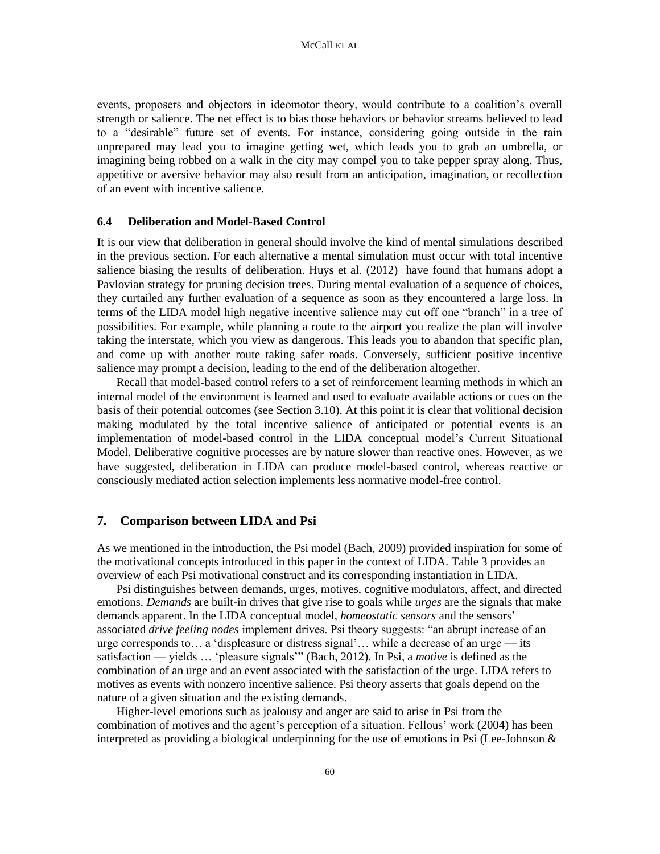events, proposers and objectors in ideomotor theory, would contribute to a coalition's overall strength or salience. The net effect is to bias those behaviors or behavior streams believed to lead to a "desirable" future set of events. For instance, considering going outside in the rain unprepared may lead you to imagine getting wet, which leads you to grab an umbrella, or imagining being robbed on a walk in the city may compel you to take pepper spray along. Thus, appetitive or aversive behavior may also result from an anticipation, imagination, or recollection of an event with incentive salience.

#### **6.4 Deliberation and Model-Based Control**

It is our view that deliberation in general should involve the kind of mental simulations described in the previous section. For each alternative a mental simulation must occur with total incentive salience biasing the results of deliberation. Huys et al. (2012) have found that humans adopt a Pavlovian strategy for pruning decision trees. During mental evaluation of a sequence of choices, they curtailed any further evaluation of a sequence as soon as they encountered a large loss. In terms of the LIDA model high negative incentive salience may cut off one "branch" in a tree of possibilities. For example, while planning a route to the airport you realize the plan will involve taking the interstate, which you view as dangerous. This leads you to abandon that specific plan, and come up with another route taking safer roads. Conversely, sufficient positive incentive salience may prompt a decision, leading to the end of the deliberation altogether.

Recall that model-based control refers to a set of reinforcement learning methods in which an internal model of the environment is learned and used to evaluate available actions or cues on the basis of their potential outcomes (see Section 3.10). At this point it is clear that volitional decision making modulated by the total incentive salience of anticipated or potential events is an implementation of model-based control in the LIDA conceptual model's Current Situational Model. Deliberative cognitive processes are by nature slower than reactive ones. However, as we have suggested, deliberation in LIDA can produce model-based control, whereas reactive or consciously mediated action selection implements less normative model-free control.

#### **7. Comparison between LIDA and Psi**

As we mentioned in the introduction, the Psi model (Bach, 2009) provided inspiration for some of the motivational concepts introduced in this paper in the context of LIDA. Table 3 provides an overview of each Psi motivational construct and its corresponding instantiation in LIDA.

Psi distinguishes between demands, urges, motives, cognitive modulators, affect, and directed emotions. *Demands* are built-in drives that give rise to goals while *urges* are the signals that make demands apparent. In the LIDA conceptual model, *homeostatic sensors* and the sensors' associated *drive feeling nodes* implement drives. Psi theory suggests: "an abrupt increase of an urge corresponds to… a 'displeasure or distress signal'… while a decrease of an urge — its satisfaction — yields … 'pleasure signals'" (Bach, 2012). In Psi, a *motive* is defined as the combination of an urge and an event associated with the satisfaction of the urge. LIDA refers to motives as events with nonzero incentive salience. Psi theory asserts that goals depend on the nature of a given situation and the existing demands.

Higher-level emotions such as jealousy and anger are said to arise in Psi from the combination of motives and the agent's perception of a situation. Fellous' work (2004) has been interpreted as providing a biological underpinning for the use of emotions in Psi (Lee-Johnson  $\&$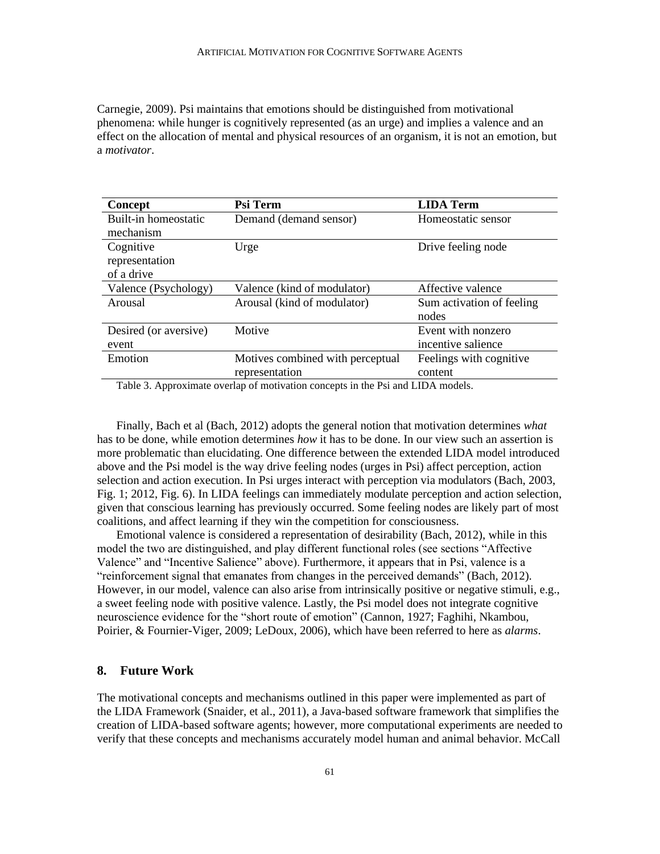Carnegie, 2009). Psi maintains that emotions should be distinguished from motivational phenomena: while hunger is cognitively represented (as an urge) and implies a valence and an effect on the allocation of mental and physical resources of an organism, it is not an emotion, but a *motivator*.

| Concept                                                                                                                                                                                                                                                                  | Psi Term                         | <b>LIDA Term</b>          |
|--------------------------------------------------------------------------------------------------------------------------------------------------------------------------------------------------------------------------------------------------------------------------|----------------------------------|---------------------------|
| Built-in homeostatic                                                                                                                                                                                                                                                     | Demand (demand sensor)           | Homeostatic sensor        |
| mechanism                                                                                                                                                                                                                                                                |                                  |                           |
| Cognitive                                                                                                                                                                                                                                                                | Urge                             | Drive feeling node        |
| representation                                                                                                                                                                                                                                                           |                                  |                           |
| of a drive                                                                                                                                                                                                                                                               |                                  |                           |
| Valence (Psychology)                                                                                                                                                                                                                                                     | Valence (kind of modulator)      | Affective valence         |
| Arousal                                                                                                                                                                                                                                                                  | Arousal (kind of modulator)      | Sum activation of feeling |
|                                                                                                                                                                                                                                                                          |                                  | nodes                     |
| Desired (or aversive)                                                                                                                                                                                                                                                    | Motive                           | Event with nonzero        |
| event                                                                                                                                                                                                                                                                    |                                  | incentive salience        |
| Emotion                                                                                                                                                                                                                                                                  | Motives combined with perceptual | Feelings with cognitive   |
|                                                                                                                                                                                                                                                                          | representation                   | content                   |
| $\mathbf{m}$ it a $\mathbf{a}$ is a set of $\mathbf{m}$ is a set of $\mathbf{m}$ is a set of $\mathbf{m}$ is a set of $\mathbf{m}$ is a set of $\mathbf{m}$ is a set of $\mathbf{m}$ is a set of $\mathbf{m}$ is a set of $\mathbf{m}$ is a set of $\mathbf{m}$ is a set |                                  |                           |

Table 3. Approximate overlap of motivation concepts in the Psi and LIDA models.

Finally, Bach et al (Bach, 2012) adopts the general notion that motivation determines *what*  has to be done, while emotion determines *how* it has to be done. In our view such an assertion is more problematic than elucidating. One difference between the extended LIDA model introduced above and the Psi model is the way drive feeling nodes (urges in Psi) affect perception, action selection and action execution. In Psi urges interact with perception via modulators (Bach, 2003, Fig. 1; 2012, Fig. 6). In LIDA feelings can immediately modulate perception and action selection, given that conscious learning has previously occurred. Some feeling nodes are likely part of most coalitions, and affect learning if they win the competition for consciousness.

Emotional valence is considered a representation of desirability (Bach, 2012), while in this model the two are distinguished, and play different functional roles (see sections "Affective Valence" and "Incentive Salience" above). Furthermore, it appears that in Psi, valence is a "reinforcement signal that emanates from changes in the perceived demands" (Bach, 2012). However, in our model, valence can also arise from intrinsically positive or negative stimuli, e.g., a sweet feeling node with positive valence. Lastly, the Psi model does not integrate cognitive neuroscience evidence for the "short route of emotion" (Cannon, 1927; Faghihi, Nkambou, Poirier, & Fournier-Viger, 2009; LeDoux, 2006), which have been referred to here as *alarms*.

# **8. Future Work**

The motivational concepts and mechanisms outlined in this paper were implemented as part of the LIDA Framework (Snaider, et al., 2011), a Java-based software framework that simplifies the creation of LIDA-based software agents; however, more computational experiments are needed to verify that these concepts and mechanisms accurately model human and animal behavior. McCall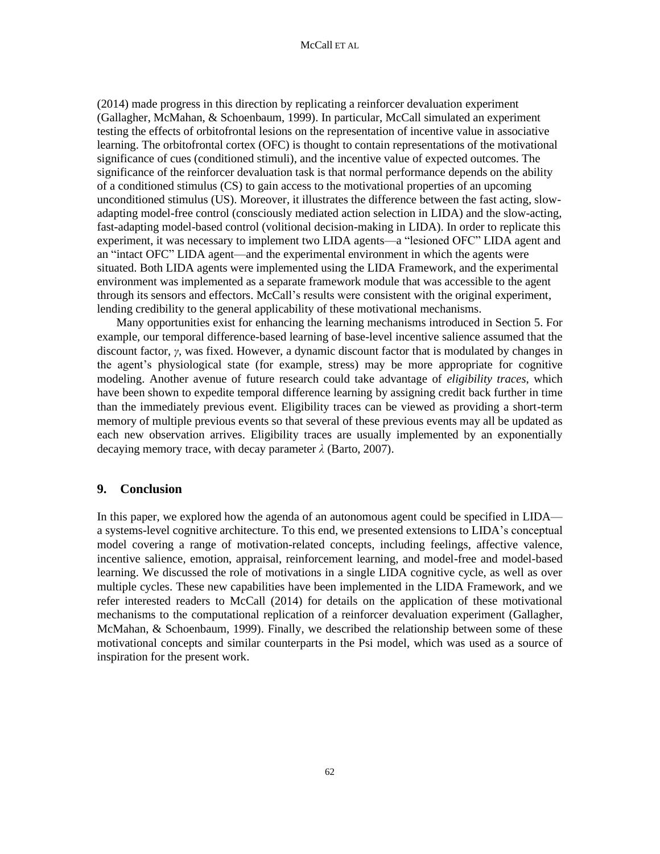(2014) made progress in this direction by replicating a reinforcer devaluation experiment (Gallagher, McMahan, & Schoenbaum, 1999). In particular, McCall simulated an experiment testing the effects of orbitofrontal lesions on the representation of incentive value in associative learning. The orbitofrontal cortex (OFC) is thought to contain representations of the motivational significance of cues (conditioned stimuli), and the incentive value of expected outcomes. The significance of the reinforcer devaluation task is that normal performance depends on the ability of a conditioned stimulus (CS) to gain access to the motivational properties of an upcoming unconditioned stimulus (US). Moreover, it illustrates the difference between the fast acting, slowadapting model-free control (consciously mediated action selection in LIDA) and the slow-acting, fast-adapting model-based control (volitional decision-making in LIDA). In order to replicate this experiment, it was necessary to implement two LIDA agents—a "lesioned OFC" LIDA agent and an "intact OFC" LIDA agent—and the experimental environment in which the agents were situated. Both LIDA agents were implemented using the LIDA Framework, and the experimental environment was implemented as a separate framework module that was accessible to the agent through its sensors and effectors. McCall's results were consistent with the original experiment, lending credibility to the general applicability of these motivational mechanisms.

Many opportunities exist for enhancing the learning mechanisms introduced in Section 5. For example, our temporal difference-based learning of base-level incentive salience assumed that the discount factor, *γ*, was fixed. However, a dynamic discount factor that is modulated by changes in the agent's physiological state (for example, stress) may be more appropriate for cognitive modeling. Another avenue of future research could take advantage of *eligibility traces*, which have been shown to expedite temporal difference learning by assigning credit back further in time than the immediately previous event. Eligibility traces can be viewed as providing a short-term memory of multiple previous events so that several of these previous events may all be updated as each new observation arrives. Eligibility traces are usually implemented by an exponentially decaying memory trace, with decay parameter *λ* (Barto, 2007).

#### **9. Conclusion**

In this paper, we explored how the agenda of an autonomous agent could be specified in LIDA a systems-level cognitive architecture. To this end, we presented extensions to LIDA's conceptual model covering a range of motivation-related concepts, including feelings, affective valence, incentive salience, emotion, appraisal, reinforcement learning, and model-free and model-based learning. We discussed the role of motivations in a single LIDA cognitive cycle, as well as over multiple cycles. These new capabilities have been implemented in the LIDA Framework, and we refer interested readers to McCall (2014) for details on the application of these motivational mechanisms to the computational replication of a reinforcer devaluation experiment (Gallagher, McMahan, & Schoenbaum, 1999). Finally, we described the relationship between some of these motivational concepts and similar counterparts in the Psi model, which was used as a source of inspiration for the present work.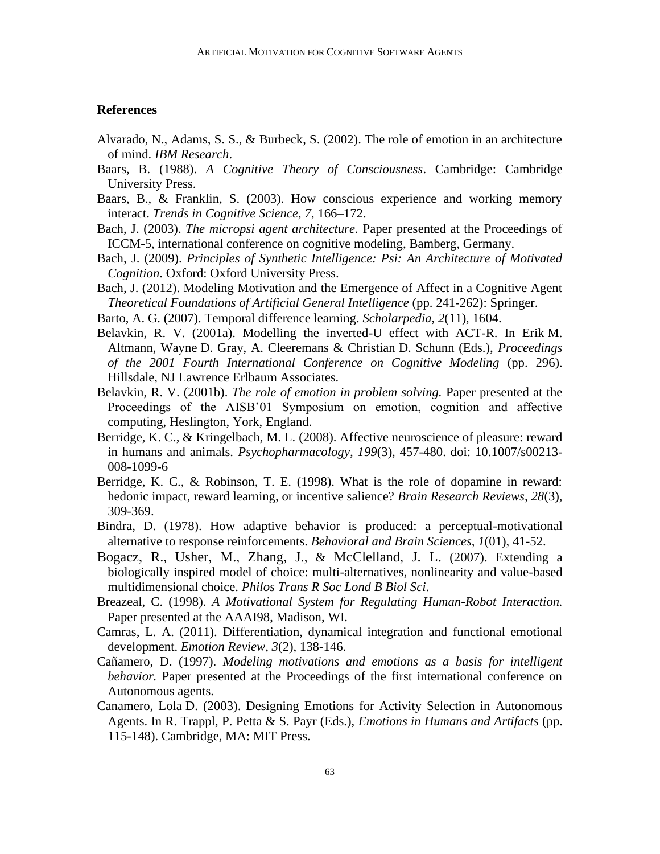# **References**

- Alvarado, N., Adams, S. S., & Burbeck, S. (2002). The role of emotion in an architecture of mind. *IBM Research*.
- Baars, B. (1988). *A Cognitive Theory of Consciousness*. Cambridge: Cambridge University Press.
- Baars, B., & Franklin, S. (2003). How conscious experience and working memory interact. *Trends in Cognitive Science, 7*, 166–172.
- Bach, J. (2003). *The micropsi agent architecture.* Paper presented at the Proceedings of ICCM-5, international conference on cognitive modeling, Bamberg, Germany.
- Bach, J. (2009). *Principles of Synthetic Intelligence: Psi: An Architecture of Motivated Cognition*. Oxford: Oxford University Press.
- Bach, J. (2012). Modeling Motivation and the Emergence of Affect in a Cognitive Agent *Theoretical Foundations of Artificial General Intelligence* (pp. 241-262): Springer.
- Barto, A. G. (2007). Temporal difference learning. *Scholarpedia, 2*(11), 1604.
- Belavkin, R. V. (2001a). Modelling the inverted-U effect with ACT-R. In Erik M. Altmann, Wayne D. Gray, A. Cleeremans & Christian D. Schunn (Eds.), *Proceedings of the 2001 Fourth International Conference on Cognitive Modeling* (pp. 296). Hillsdale, NJ Lawrence Erlbaum Associates.
- Belavkin, R. V. (2001b). *The role of emotion in problem solving.* Paper presented at the Proceedings of the AISB'01 Symposium on emotion, cognition and affective computing, Heslington, York, England.
- Berridge, K. C., & Kringelbach, M. L. (2008). Affective neuroscience of pleasure: reward in humans and animals. *Psychopharmacology, 199*(3), 457-480. doi: 10.1007/s00213- 008-1099-6
- Berridge, K. C., & Robinson, T. E. (1998). What is the role of dopamine in reward: hedonic impact, reward learning, or incentive salience? *Brain Research Reviews, 28*(3), 309-369.
- Bindra, D. (1978). How adaptive behavior is produced: a perceptual-motivational alternative to response reinforcements. *Behavioral and Brain Sciences, 1*(01), 41-52.
- Bogacz, R., Usher, M., Zhang, J., & McClelland, J. L. (2007). Extending a biologically inspired model of choice: multi-alternatives, nonlinearity and value-based multidimensional choice. *Philos Trans R Soc Lond B Biol Sci*.
- Breazeal, C. (1998). *A Motivational System for Regulating Human-Robot Interaction.* Paper presented at the AAAI98, Madison, WI.
- Camras, L. A. (2011). Differentiation, dynamical integration and functional emotional development. *Emotion Review, 3*(2), 138-146.
- Cañamero, D. (1997). *Modeling motivations and emotions as a basis for intelligent behavior.* Paper presented at the Proceedings of the first international conference on Autonomous agents.
- Canamero, Lola D. (2003). Designing Emotions for Activity Selection in Autonomous Agents. In R. Trappl, P. Petta & S. Payr (Eds.), *Emotions in Humans and Artifacts* (pp. 115-148). Cambridge, MA: MIT Press.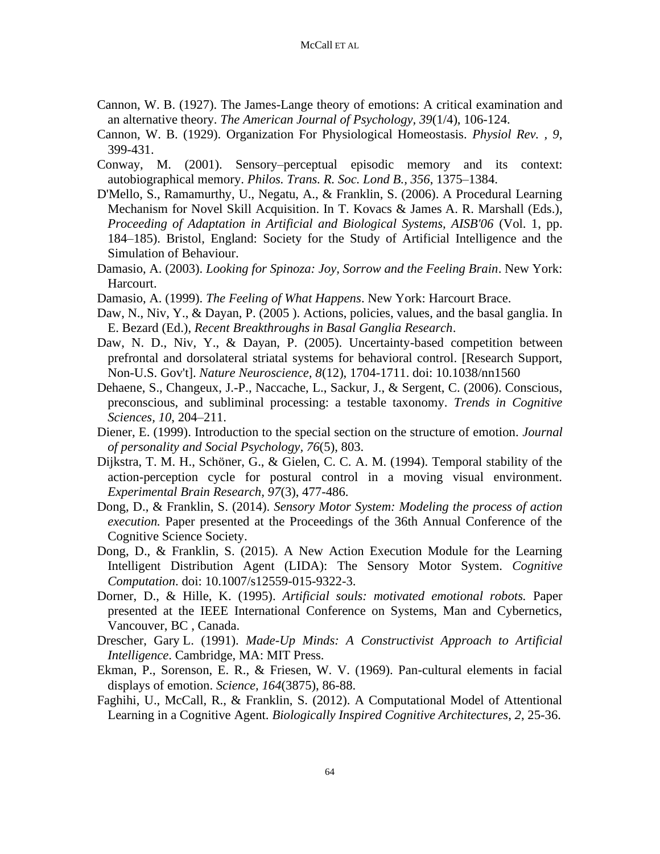- Cannon, W. B. (1927). The James-Lange theory of emotions: A critical examination and an alternative theory. *The American Journal of Psychology, 39*(1/4), 106-124.
- Cannon, W. B. (1929). Organization For Physiological Homeostasis. *Physiol Rev. , 9*, 399-431.
- Conway, M. (2001). Sensory–perceptual episodic memory and its context: autobiographical memory. *Philos. Trans. R. Soc. Lond B., 356*, 1375–1384.
- D'Mello, S., Ramamurthy, U., Negatu, A., & Franklin, S. (2006). A Procedural Learning Mechanism for Novel Skill Acquisition. In T. Kovacs & James A. R. Marshall (Eds.), *Proceeding of Adaptation in Artificial and Biological Systems, AISB'06* (Vol. 1, pp. 184–185). Bristol, England: Society for the Study of Artificial Intelligence and the Simulation of Behaviour.
- Damasio, A. (2003). *Looking for Spinoza: Joy, Sorrow and the Feeling Brain*. New York: Harcourt.
- Damasio, A. (1999). *The Feeling of What Happens*. New York: Harcourt Brace.
- Daw, N., Niv, Y., & Dayan, P. (2005). Actions, policies, values, and the basal ganglia. In E. Bezard (Ed.), *Recent Breakthroughs in Basal Ganglia Research*.
- Daw, N. D., Niv, Y., & Dayan, P. (2005). Uncertainty-based competition between prefrontal and dorsolateral striatal systems for behavioral control. [Research Support, Non-U.S. Gov't]. *Nature Neuroscience, 8*(12), 1704-1711. doi: 10.1038/nn1560
- Dehaene, S., Changeux, J.-P., Naccache, L., Sackur, J., & Sergent, C. (2006). Conscious, preconscious, and subliminal processing: a testable taxonomy. *Trends in Cognitive Sciences, 10*, 204–211.
- Diener, E. (1999). Introduction to the special section on the structure of emotion. *Journal of personality and Social Psychology, 76*(5), 803.
- Dijkstra, T. M. H., Schöner, G., & Gielen, C. C. A. M. (1994). Temporal stability of the action-perception cycle for postural control in a moving visual environment. *Experimental Brain Research, 97*(3), 477-486.
- Dong, D., & Franklin, S. (2014). *Sensory Motor System: Modeling the process of action execution.* Paper presented at the Proceedings of the 36th Annual Conference of the Cognitive Science Society.
- Dong, D., & Franklin, S. (2015). A New Action Execution Module for the Learning Intelligent Distribution Agent (LIDA): The Sensory Motor System. *Cognitive Computation*. doi: 10.1007/s12559-015-9322-3.
- Dorner, D., & Hille, K. (1995). *Artificial souls: motivated emotional robots.* Paper presented at the IEEE International Conference on Systems, Man and Cybernetics, Vancouver, BC , Canada.
- Drescher, Gary L. (1991). *Made-Up Minds: A Constructivist Approach to Artificial Intelligence*. Cambridge, MA: MIT Press.
- Ekman, P., Sorenson, E. R., & Friesen, W. V. (1969). Pan-cultural elements in facial displays of emotion. *Science, 164*(3875), 86-88.
- Faghihi, U., McCall, R., & Franklin, S. (2012). A Computational Model of Attentional Learning in a Cognitive Agent. *Biologically Inspired Cognitive Architectures*, *2*, 25-36.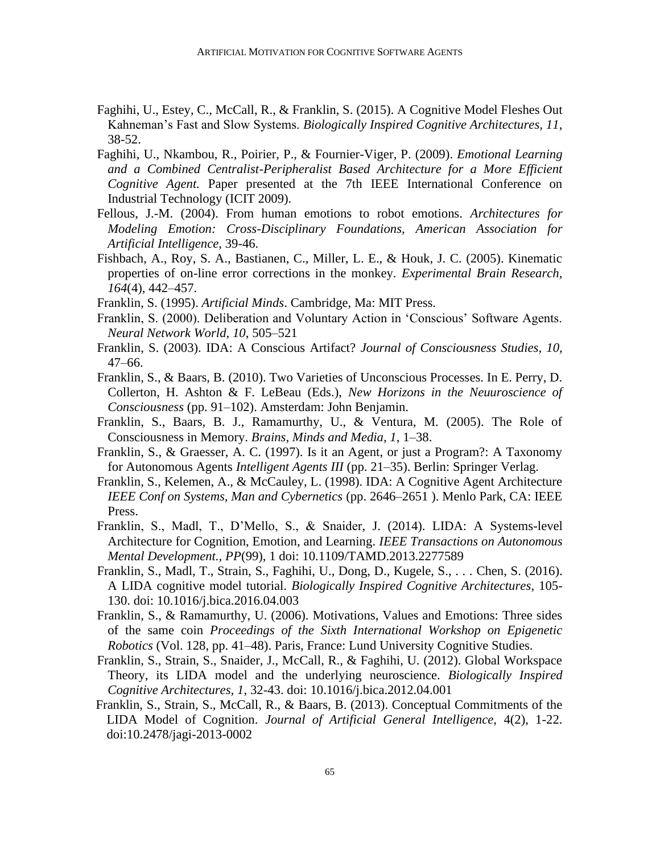- Faghihi, U., Estey, C., McCall, R., & Franklin, S. (2015). A Cognitive Model Fleshes Out Kahneman's Fast and Slow Systems. *Biologically Inspired Cognitive Architectures, 11*, 38-52.
- Faghihi, U., Nkambou, R., Poirier, P., & Fournier-Viger, P. (2009). *Emotional Learning and a Combined Centralist-Peripheralist Based Architecture for a More Efficient Cognitive Agent.* Paper presented at the 7th IEEE International Conference on Industrial Technology (ICIT 2009).
- Fellous, J.-M. (2004). From human emotions to robot emotions. *Architectures for Modeling Emotion: Cross-Disciplinary Foundations, American Association for Artificial Intelligence*, 39-46.
- Fishbach, A., Roy, S. A., Bastianen, C., Miller, L. E., & Houk, J. C. (2005). Kinematic properties of on-line error corrections in the monkey. *Experimental Brain Research, 164*(4), 442–457.
- Franklin, S. (1995). *Artificial Minds*. Cambridge, Ma: MIT Press.
- Franklin, S. (2000). Deliberation and Voluntary Action in 'Conscious' Software Agents. *Neural Network World, 10*, 505–521
- Franklin, S. (2003). IDA: A Conscious Artifact? *Journal of Consciousness Studies, 10*, 47–66.
- Franklin, S., & Baars, B. (2010). Two Varieties of Unconscious Processes. In E. Perry, D. Collerton, H. Ashton & F. LeBeau (Eds.), *New Horizons in the Neuuroscience of Consciousness* (pp. 91–102). Amsterdam: John Benjamin.
- Franklin, S., Baars, B. J., Ramamurthy, U., & Ventura, M. (2005). The Role of Consciousness in Memory. *Brains, Minds and Media, 1*, 1–38.
- Franklin, S., & Graesser, A. C. (1997). Is it an Agent, or just a Program?: A Taxonomy for Autonomous Agents *Intelligent Agents III* (pp. 21–35). Berlin: Springer Verlag.
- Franklin, S., Kelemen, A., & McCauley, L. (1998). IDA: A Cognitive Agent Architecture *IEEE Conf on Systems, Man and Cybernetics* (pp. 2646–2651 ). Menlo Park, CA: IEEE Press.
- Franklin, S., Madl, T., D'Mello, S., & Snaider, J. (2014). LIDA: A Systems-level Architecture for Cognition, Emotion, and Learning. *IEEE Transactions on Autonomous Mental Development., PP*(99), 1 doi: 10.1109/TAMD.2013.2277589
- Franklin, S., Madl, T., Strain, S., Faghihi, U., Dong, D., Kugele, S., . . . Chen, S. (2016). A LIDA cognitive model tutorial. *Biologically Inspired Cognitive Architectures*, 105- 130. doi: 10.1016/j.bica.2016.04.003
- Franklin, S., & Ramamurthy, U. (2006). Motivations, Values and Emotions: Three sides of the same coin *Proceedings of the Sixth International Workshop on Epigenetic Robotics* (Vol. 128, pp. 41–48). Paris, France: Lund University Cognitive Studies.
- Franklin, S., Strain, S., Snaider, J., McCall, R., & Faghihi, U. (2012). Global Workspace Theory, its LIDA model and the underlying neuroscience. *Biologically Inspired Cognitive Architectures, 1*, 32-43. doi: 10.1016/j.bica.2012.04.001
- Franklin, S., Strain, S., McCall, R., & Baars, B. (2013). Conceptual Commitments of the LIDA Model of Cognition. *Journal of Artificial General Intelligence*, 4(2), 1-22. doi:10.2478/jagi-2013-0002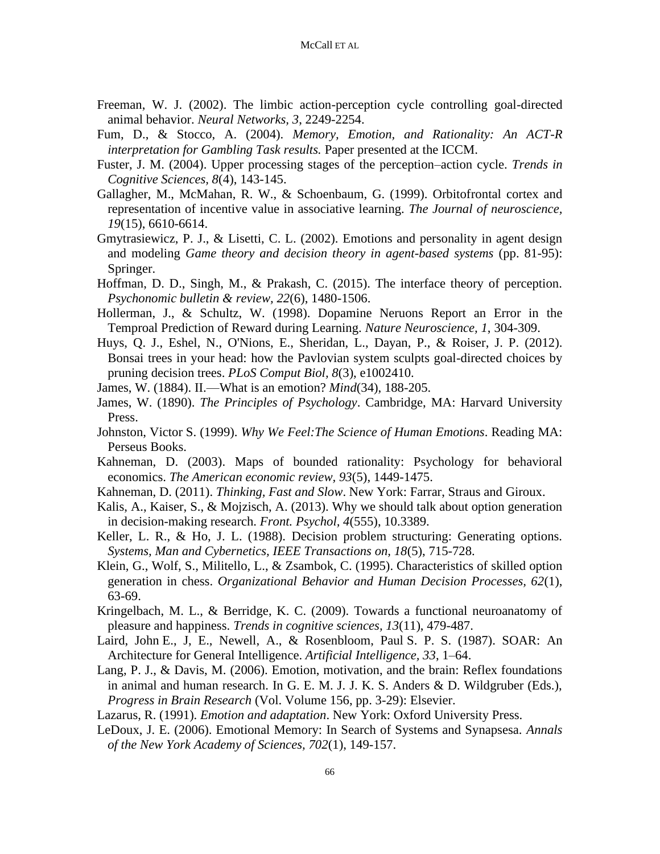- Freeman, W. J. (2002). The limbic action-perception cycle controlling goal-directed animal behavior. *Neural Networks, 3*, 2249-2254.
- Fum, D., & Stocco, A. (2004). *Memory, Emotion, and Rationality: An ACT-R interpretation for Gambling Task results.* Paper presented at the ICCM.
- Fuster, J. M. (2004). Upper processing stages of the perception–action cycle. *Trends in Cognitive Sciences, 8*(4), 143-145.
- Gallagher, M., McMahan, R. W., & Schoenbaum, G. (1999). Orbitofrontal cortex and representation of incentive value in associative learning. *The Journal of neuroscience, 19*(15), 6610-6614.
- Gmytrasiewicz, P. J., & Lisetti, C. L. (2002). Emotions and personality in agent design and modeling *Game theory and decision theory in agent-based systems* (pp. 81-95): Springer.
- Hoffman, D. D., Singh, M., & Prakash, C. (2015). The interface theory of perception. *Psychonomic bulletin & review, 22*(6), 1480-1506.
- Hollerman, J., & Schultz, W. (1998). Dopamine Neruons Report an Error in the Temproal Prediction of Reward during Learning. *Nature Neuroscience, 1*, 304-309.
- Huys, Q. J., Eshel, N., O'Nions, E., Sheridan, L., Dayan, P., & Roiser, J. P. (2012). Bonsai trees in your head: how the Pavlovian system sculpts goal-directed choices by pruning decision trees. *PLoS Comput Biol, 8*(3), e1002410.
- James, W. (1884). II.—What is an emotion? *Mind*(34), 188-205.
- James, W. (1890). *The Principles of Psychology*. Cambridge, MA: Harvard University Press.
- Johnston, Victor S. (1999). *Why We Feel:The Science of Human Emotions*. Reading MA: Perseus Books.
- Kahneman, D. (2003). Maps of bounded rationality: Psychology for behavioral economics. *The American economic review, 93*(5), 1449-1475.
- Kahneman, D. (2011). *Thinking, Fast and Slow*. New York: Farrar, Straus and Giroux.
- Kalis, A., Kaiser, S., & Mojzisch, A. (2013). Why we should talk about option generation in decision-making research. *Front. Psychol, 4*(555), 10.3389.
- Keller, L. R., & Ho, J. L. (1988). Decision problem structuring: Generating options. *Systems, Man and Cybernetics, IEEE Transactions on, 18*(5), 715-728.
- Klein, G., Wolf, S., Militello, L., & Zsambok, C. (1995). Characteristics of skilled option generation in chess. *Organizational Behavior and Human Decision Processes, 62*(1), 63-69.
- Kringelbach, M. L., & Berridge, K. C. (2009). Towards a functional neuroanatomy of pleasure and happiness. *Trends in cognitive sciences, 13*(11), 479-487.
- Laird, John E., J, E., Newell, A., & Rosenbloom, Paul S. P. S. (1987). SOAR: An Architecture for General Intelligence. *Artificial Intelligence, 33*, 1–64.
- Lang, P. J., & Davis, M. (2006). Emotion, motivation, and the brain: Reflex foundations in animal and human research. In G. E. M. J. J. K. S. Anders & D. Wildgruber (Eds.), *Progress in Brain Research* (Vol. Volume 156, pp. 3-29): Elsevier.
- Lazarus, R. (1991). *Emotion and adaptation*. New York: Oxford University Press.
- LeDoux, J. E. (2006). Emotional Memory: In Search of Systems and Synapsesa. *Annals of the New York Academy of Sciences, 702*(1), 149-157.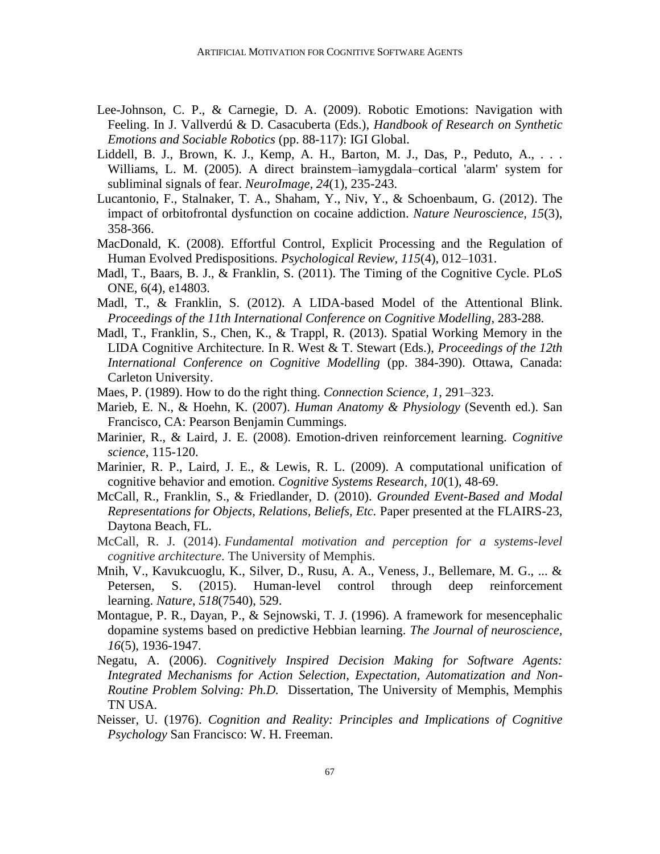- Lee-Johnson, C. P., & Carnegie, D. A. (2009). Robotic Emotions: Navigation with Feeling. In J. Vallverdú & D. Casacuberta (Eds.), *Handbook of Research on Synthetic Emotions and Sociable Robotics* (pp. 88-117): IGI Global.
- Liddell, B. J., Brown, K. J., Kemp, A. H., Barton, M. J., Das, P., Peduto, A., . . . Williams, L. M. (2005). A direct brainstem–ìamygdala–cortical 'alarm' system for subliminal signals of fear. *NeuroImage, 24*(1), 235-243.
- Lucantonio, F., Stalnaker, T. A., Shaham, Y., Niv, Y., & Schoenbaum, G. (2012). The impact of orbitofrontal dysfunction on cocaine addiction. *Nature Neuroscience, 15*(3), 358-366.
- MacDonald, K. (2008). Effortful Control, Explicit Processing and the Regulation of Human Evolved Predispositions. *Psychological Review, 115*(4), 012–1031.
- Madl, T., Baars, B. J., & Franklin, S. (2011). The Timing of the Cognitive Cycle. PLoS ONE, 6(4), e14803.
- Madl, T., & Franklin, S. (2012). A LIDA-based Model of the Attentional Blink. *Proceedings of the 11th International Conference on Cognitive Modelling*, 283-288.
- Madl, T., Franklin, S., Chen, K., & Trappl, R. (2013). Spatial Working Memory in the LIDA Cognitive Architecture. In R. West & T. Stewart (Eds.), *Proceedings of the 12th International Conference on Cognitive Modelling* (pp. 384-390). Ottawa, Canada: Carleton University.
- Maes, P. (1989). How to do the right thing. *Connection Science, 1*, 291–323.
- Marieb, E. N., & Hoehn, K. (2007). *Human Anatomy & Physiology* (Seventh ed.). San Francisco, CA: Pearson Benjamin Cummings.
- Marinier, R., & Laird, J. E. (2008). Emotion-driven reinforcement learning. *Cognitive science*, 115-120.
- Marinier, R. P., Laird, J. E., & Lewis, R. L. (2009). A computational unification of cognitive behavior and emotion. *Cognitive Systems Research, 10*(1), 48-69.
- McCall, R., Franklin, S., & Friedlander, D. (2010). *Grounded Event-Based and Modal Representations for Objects, Relations, Beliefs, Etc.* Paper presented at the FLAIRS-23, Daytona Beach, FL.
- McCall, R. J. (2014). *Fundamental motivation and perception for a systems-level cognitive architecture*. The University of Memphis.
- Mnih, V., Kavukcuoglu, K., Silver, D., Rusu, A. A., Veness, J., Bellemare, M. G., ... & Petersen, S. (2015). Human-level control through deep reinforcement learning. *Nature*, *518*(7540), 529.
- Montague, P. R., Dayan, P., & Sejnowski, T. J. (1996). A framework for mesencephalic dopamine systems based on predictive Hebbian learning. *The Journal of neuroscience, 16*(5), 1936-1947.
- Negatu, A. (2006). *Cognitively Inspired Decision Making for Software Agents: Integrated Mechanisms for Action Selection, Expectation, Automatization and Non-Routine Problem Solving: Ph.D.* Dissertation, The University of Memphis, Memphis TN USA.
- Neisser, U. (1976). *Cognition and Reality: Principles and Implications of Cognitive Psychology* San Francisco: W. H. Freeman.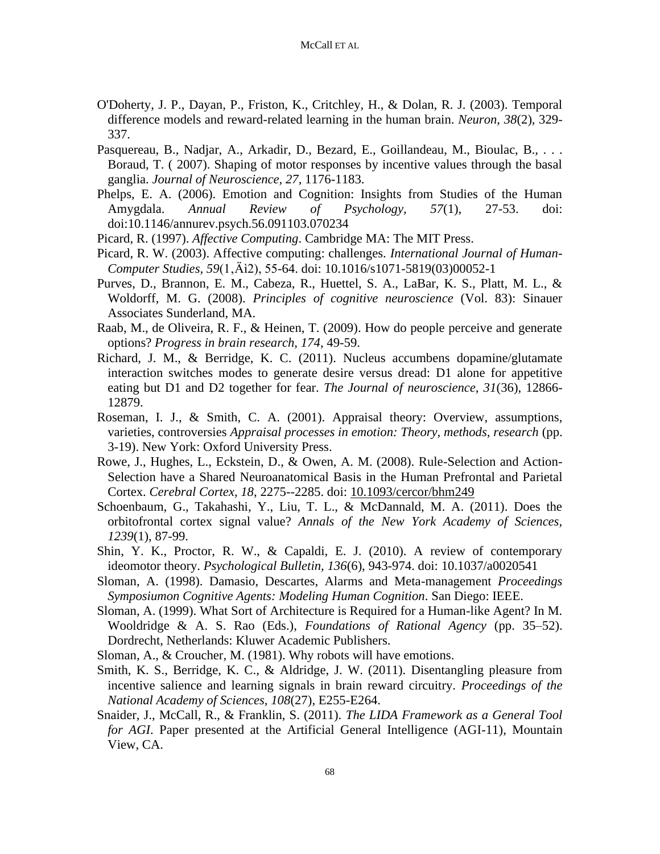- O'Doherty, J. P., Dayan, P., Friston, K., Critchley, H., & Dolan, R. J. (2003). Temporal difference models and reward-related learning in the human brain. *Neuron, 38*(2), 329- 337.
- Pasquereau, B., Nadjar, A., Arkadir, D., Bezard, E., Goillandeau, M., Bioulac, B., . . . Boraud, T. ( 2007). Shaping of motor responses by incentive values through the basal ganglia. *Journal of Neuroscience, 27*, 1176-1183.
- Phelps, E. A. (2006). Emotion and Cognition: Insights from Studies of the Human Amygdala. *Annual Review of Psychology, 57*(1), 27-53. doi: doi:10.1146/annurev.psych.56.091103.070234
- Picard, R. (1997). *Affective Computing*. Cambridge MA: The MIT Press.
- Picard, R. W. (2003). Affective computing: challenges. *International Journal of Human-Computer Studies, 59*(1–2), 55-64. doi: 10.1016/s1071-5819(03)00052-1
- Purves, D., Brannon, E. M., Cabeza, R., Huettel, S. A., LaBar, K. S., Platt, M. L., & Woldorff, M. G. (2008). *Principles of cognitive neuroscience* (Vol. 83): Sinauer Associates Sunderland, MA.
- Raab, M., de Oliveira, R. F., & Heinen, T. (2009). How do people perceive and generate options? *Progress in brain research, 174*, 49-59.
- Richard, J. M., & Berridge, K. C. (2011). Nucleus accumbens dopamine/glutamate interaction switches modes to generate desire versus dread: D1 alone for appetitive eating but D1 and D2 together for fear. *The Journal of neuroscience, 31*(36), 12866- 12879.
- Roseman, I. J., & Smith, C. A. (2001). Appraisal theory: Overview, assumptions, varieties, controversies *Appraisal processes in emotion: Theory, methods, research* (pp. 3-19). New York: Oxford University Press.
- Rowe, J., Hughes, L., Eckstein, D., & Owen, A. M. (2008). Rule-Selection and Action-Selection have a Shared Neuroanatomical Basis in the Human Prefrontal and Parietal Cortex. *Cerebral Cortex, 18*, 2275--2285. doi: 10.1093/cercor/bhm249
- Schoenbaum, G., Takahashi, Y., Liu, T. L., & McDannald, M. A. (2011). Does the orbitofrontal cortex signal value? *Annals of the New York Academy of Sciences, 1239*(1), 87-99.
- Shin, Y. K., Proctor, R. W., & Capaldi, E. J. (2010). A review of contemporary ideomotor theory. *Psychological Bulletin, 136*(6), 943-974. doi: 10.1037/a0020541
- Sloman, A. (1998). Damasio, Descartes, Alarms and Meta-management *Proceedings Symposiumon Cognitive Agents: Modeling Human Cognition*. San Diego: IEEE.
- Sloman, A. (1999). What Sort of Architecture is Required for a Human-like Agent? In M. Wooldridge & A. S. Rao (Eds.), *Foundations of Rational Agency* (pp. 35–52). Dordrecht, Netherlands: Kluwer Academic Publishers.
- Sloman, A., & Croucher, M. (1981). Why robots will have emotions.
- Smith, K. S., Berridge, K. C., & Aldridge, J. W. (2011). Disentangling pleasure from incentive salience and learning signals in brain reward circuitry. *Proceedings of the National Academy of Sciences, 108*(27), E255-E264.
- Snaider, J., McCall, R., & Franklin, S. (2011). *The LIDA Framework as a General Tool for AGI*. Paper presented at the Artificial General Intelligence (AGI-11), Mountain View, CA.